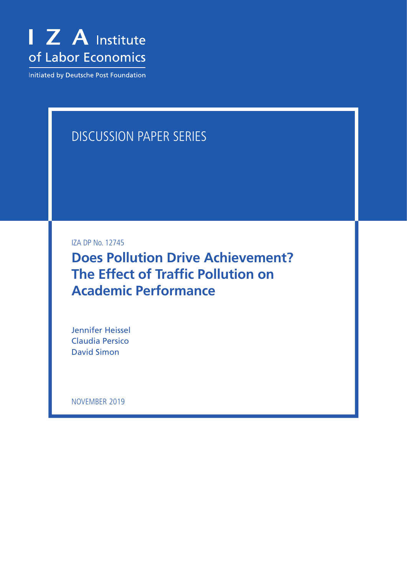

Initiated by Deutsche Post Foundation

# DISCUSSION PAPER SERIES

IZA DP No. 12745

**Does Pollution Drive Achievement? The Effect of Traffic Pollution on Academic Performance**

Jennifer Heissel Claudia Persico David Simon

NOVEMBER 2019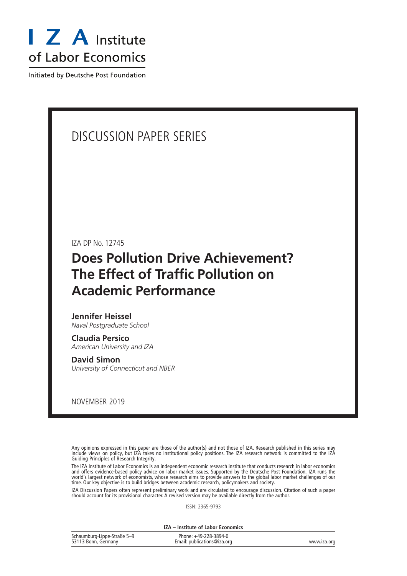

Initiated by Deutsche Post Foundation

# DISCUSSION PAPER SERIES

IZA DP No. 12745

# **Does Pollution Drive Achievement? The Effect of Traffic Pollution on Academic Performance**

# **Jennifer Heissel**

*Naval Postgraduate School*

**Claudia Persico** *American University and IZA*

#### **David Simon**

*University of Connecticut and NBER*

NOVEMBER 2019

Any opinions expressed in this paper are those of the author(s) and not those of IZA. Research published in this series may include views on policy, but IZA takes no institutional policy positions. The IZA research network is committed to the IZA Guiding Principles of Research Integrity.

The IZA Institute of Labor Economics is an independent economic research institute that conducts research in labor economics and offers evidence-based policy advice on labor market issues. Supported by the Deutsche Post Foundation, IZA runs the world's largest network of economists, whose research aims to provide answers to the global labor market challenges of our time. Our key objective is to build bridges between academic research, policymakers and society.

IZA Discussion Papers often represent preliminary work and are circulated to encourage discussion. Citation of such a paper should account for its provisional character. A revised version may be available directly from the author.

ISSN: 2365-9793

**IZA – Institute of Labor Economics**

| Schaumburg-Lippe-Straße 5-9 | Phone: +49-228-3894-0       |             |
|-----------------------------|-----------------------------|-------------|
| 53113 Bonn, Germany         | Email: publications@iza.org | www.iza.org |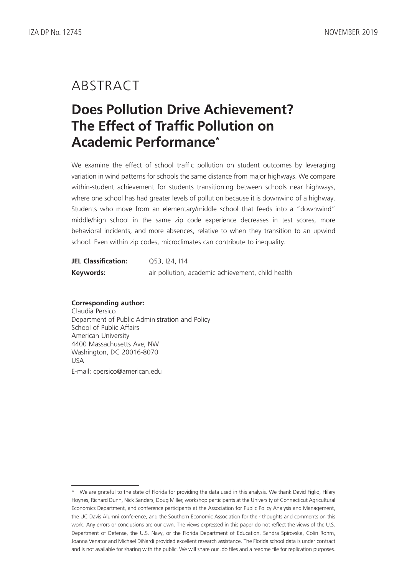# ABSTRACT

# **Does Pollution Drive Achievement? The Effect of Traffic Pollution on Academic Performance\***

We examine the effect of school traffic pollution on student outcomes by leveraging variation in wind patterns for schools the same distance from major highways. We compare within-student achievement for students transitioning between schools near highways, where one school has had greater levels of pollution because it is downwind of a highway. Students who move from an elementary/middle school that feeds into a "downwind" middle/high school in the same zip code experience decreases in test scores, more behavioral incidents, and more absences, relative to when they transition to an upwind school. Even within zip codes, microclimates can contribute to inequality.

| <b>JEL Classification:</b> | 053, 124, 114                                     |
|----------------------------|---------------------------------------------------|
| Keywords:                  | air pollution, academic achievement, child health |

### **Corresponding author:**

Claudia Persico Department of Public Administration and Policy School of Public Affairs American University 4400 Massachusetts Ave, NW Washington, DC 20016-8070 USA E-mail: cpersico@american.edu

<sup>\*</sup> We are grateful to the state of Florida for providing the data used in this analysis. We thank David Figlio, Hilary Hoynes, Richard Dunn, Nick Sanders, Doug Miller, workshop participants at the University of Connecticut Agricultural Economics Department, and conference participants at the Association for Public Policy Analysis and Management, the UC Davis Alumni conference, and the Southern Economic Association for their thoughts and comments on this work. Any errors or conclusions are our own. The views expressed in this paper do not reflect the views of the U.S. Department of Defense, the U.S. Navy, or the Florida Department of Education. Sandra Spirovska, Colin Rohm, Joanna Venator and Michael DiNardi provided excellent research assistance. The Florida school data is under contract and is not available for sharing with the public. We will share our .do files and a readme file for replication purposes.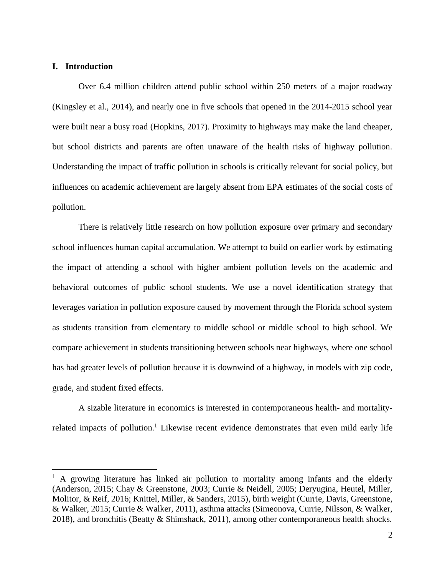# **I. Introduction**

Over 6.4 million children attend public school within 250 meters of a major roadway (Kingsley et al., 2014), and nearly one in five schools that opened in the 2014-2015 school year were built near a busy road (Hopkins, 2017). Proximity to highways may make the land cheaper, but school districts and parents are often unaware of the health risks of highway pollution. Understanding the impact of traffic pollution in schools is critically relevant for social policy, but influences on academic achievement are largely absent from EPA estimates of the social costs of pollution.

There is relatively little research on how pollution exposure over primary and secondary school influences human capital accumulation. We attempt to build on earlier work by estimating the impact of attending a school with higher ambient pollution levels on the academic and behavioral outcomes of public school students. We use a novel identification strategy that leverages variation in pollution exposure caused by movement through the Florida school system as students transition from elementary to middle school or middle school to high school. We compare achievement in students transitioning between schools near highways, where one school has had greater levels of pollution because it is downwind of a highway, in models with zip code, grade, and student fixed effects.

A sizable literature in economics is interested in contemporaneous health- and mortalityrelated impacts of pollution.<sup>1</sup> Likewise recent evidence demonstrates that even mild early life

 $<sup>1</sup>$  A growing literature has linked air pollution to mortality among infants and the elderly</sup> (Anderson, 2015; Chay & Greenstone, 2003; Currie & Neidell, 2005; Deryugina, Heutel, Miller, Molitor, & Reif, 2016; Knittel, Miller, & Sanders, 2015), birth weight (Currie, Davis, Greenstone, & Walker, 2015; Currie & Walker, 2011), asthma attacks (Simeonova, Currie, Nilsson, & Walker, 2018), and bronchitis (Beatty & Shimshack, 2011), among other contemporaneous health shocks.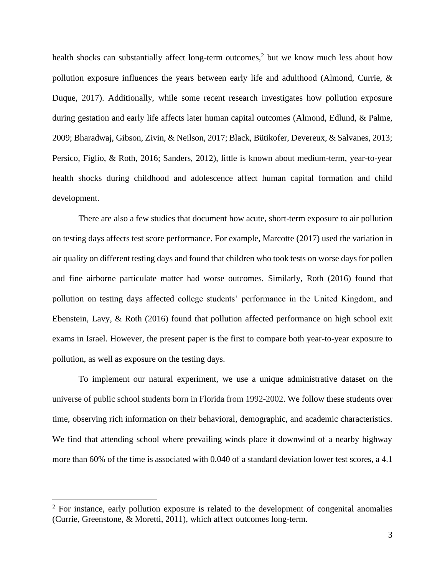health shocks can substantially affect long-term outcomes,<sup>2</sup> but we know much less about how pollution exposure influences the years between early life and adulthood (Almond, Currie, & Duque, 2017). Additionally, while some recent research investigates how pollution exposure during gestation and early life affects later human capital outcomes (Almond, Edlund, & Palme, 2009; Bharadwaj, Gibson, Zivin, & Neilson, 2017; Black, Bütikofer, Devereux, & Salvanes, 2013; Persico, Figlio, & Roth, 2016; Sanders, 2012), little is known about medium-term, year-to-year health shocks during childhood and adolescence affect human capital formation and child development.

There are also a few studies that document how acute, short-term exposure to air pollution on testing days affects test score performance. For example, Marcotte (2017) used the variation in air quality on different testing days and found that children who took tests on worse days for pollen and fine airborne particulate matter had worse outcomes. Similarly, Roth (2016) found that pollution on testing days affected college students' performance in the United Kingdom, and Ebenstein, Lavy, & Roth (2016) found that pollution affected performance on high school exit exams in Israel. However, the present paper is the first to compare both year-to-year exposure to pollution, as well as exposure on the testing days.

To implement our natural experiment, we use a unique administrative dataset on the universe of public school students born in Florida from 1992-2002. We follow these students over time, observing rich information on their behavioral, demographic, and academic characteristics. We find that attending school where prevailing winds place it downwind of a nearby highway more than 60% of the time is associated with 0.040 of a standard deviation lower test scores, a 4.1

 $2^2$  For instance, early pollution exposure is related to the development of congenital anomalies (Currie, Greenstone, & Moretti, 2011), which affect outcomes long-term.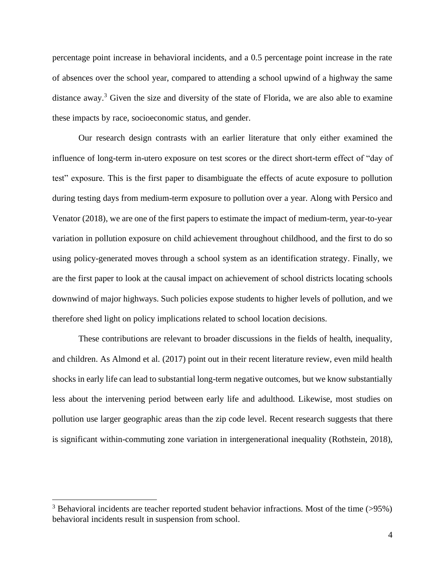percentage point increase in behavioral incidents, and a 0.5 percentage point increase in the rate of absences over the school year, compared to attending a school upwind of a highway the same distance away.<sup>3</sup> Given the size and diversity of the state of Florida, we are also able to examine these impacts by race, socioeconomic status, and gender.

Our research design contrasts with an earlier literature that only either examined the influence of long-term in-utero exposure on test scores or the direct short-term effect of "day of test" exposure. This is the first paper to disambiguate the effects of acute exposure to pollution during testing days from medium-term exposure to pollution over a year. Along with Persico and Venator (2018), we are one of the first papers to estimate the impact of medium-term, year-to-year variation in pollution exposure on child achievement throughout childhood, and the first to do so using policy-generated moves through a school system as an identification strategy. Finally, we are the first paper to look at the causal impact on achievement of school districts locating schools downwind of major highways. Such policies expose students to higher levels of pollution, and we therefore shed light on policy implications related to school location decisions.

These contributions are relevant to broader discussions in the fields of health, inequality, and children. As Almond et al. (2017) point out in their recent literature review, even mild health shocks in early life can lead to substantial long-term negative outcomes, but we know substantially less about the intervening period between early life and adulthood. Likewise, most studies on pollution use larger geographic areas than the zip code level. Recent research suggests that there is significant within-commuting zone variation in intergenerational inequality (Rothstein, 2018),

 $3$  Behavioral incidents are teacher reported student behavior infractions. Most of the time (>95%) behavioral incidents result in suspension from school.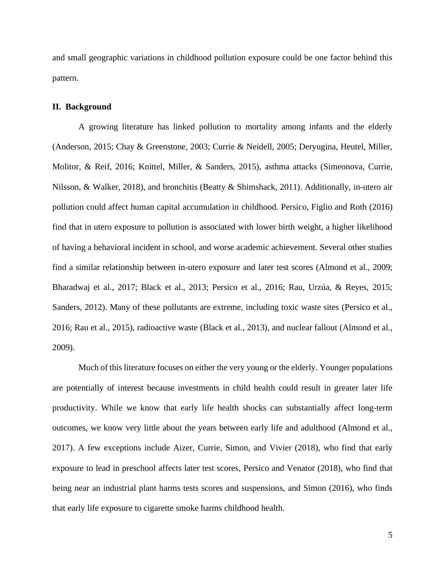and small geographic variations in childhood pollution exposure could be one factor behind this pattern.

#### **II. Background**

A growing literature has linked pollution to mortality among infants and the elderly (Anderson, 2015; Chay & Greenstone, 2003; Currie & Neidell, 2005; Deryugina, Heutel, Miller, Molitor, & Reif, 2016; Knittel, Miller, & Sanders, 2015), asthma attacks (Simeonova, Currie, Nilsson, & Walker, 2018), and bronchitis (Beatty & Shimshack, 2011). Additionally, in-utero air pollution could affect human capital accumulation in childhood. Persico, Figlio and Roth (2016) find that in utero exposure to pollution is associated with lower birth weight, a higher likelihood of having a behavioral incident in school, and worse academic achievement. Several other studies find a similar relationship between in-utero exposure and later test scores (Almond et al., 2009; Bharadwaj et al., 2017; Black et al., 2013; Persico et al., 2016; Rau, Urzúa, & Reyes, 2015; Sanders, 2012). Many of these pollutants are extreme, including toxic waste sites (Persico et al., 2016; Rau et al., 2015), radioactive waste (Black et al., 2013), and nuclear fallout (Almond et al., 2009).

Much of this literature focuses on either the very young or the elderly. Younger populations are potentially of interest because investments in child health could result in greater later life productivity. While we know that early life health shocks can substantially affect long-term outcomes, we know very little about the years between early life and adulthood (Almond et al., 2017). A few exceptions include Aizer, Currie, Simon, and Vivier (2018), who find that early exposure to lead in preschool affects later test scores, Persico and Venator (2018), who find that being near an industrial plant harms tests scores and suspensions, and Simon (2016), who finds that early life exposure to cigarette smoke harms childhood health.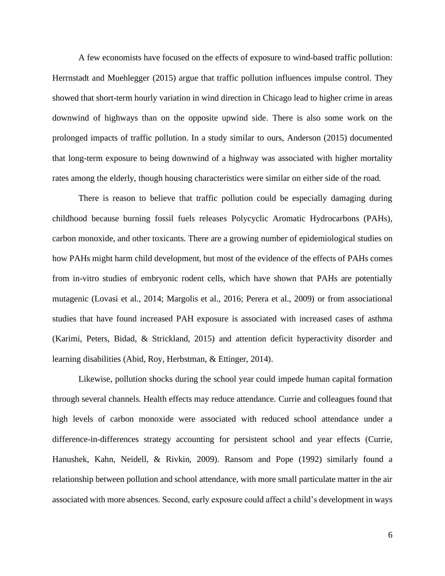A few economists have focused on the effects of exposure to wind-based traffic pollution: Herrnstadt and Muehlegger (2015) argue that traffic pollution influences impulse control. They showed that short-term hourly variation in wind direction in Chicago lead to higher crime in areas downwind of highways than on the opposite upwind side. There is also some work on the prolonged impacts of traffic pollution. In a study similar to ours, Anderson (2015) documented that long-term exposure to being downwind of a highway was associated with higher mortality rates among the elderly, though housing characteristics were similar on either side of the road.

There is reason to believe that traffic pollution could be especially damaging during childhood because burning fossil fuels releases Polycyclic Aromatic Hydrocarbons (PAHs), carbon monoxide, and other toxicants. There are a growing number of epidemiological studies on how PAHs might harm child development, but most of the evidence of the effects of PAHs comes from in-vitro studies of embryonic rodent cells, which have shown that PAHs are potentially mutagenic (Lovasi et al., 2014; Margolis et al., 2016; Perera et al., 2009) or from associational studies that have found increased PAH exposure is associated with increased cases of asthma (Karimi, Peters, Bidad, & Strickland, 2015) and attention deficit hyperactivity disorder and learning disabilities (Abid, Roy, Herbstman, & Ettinger, 2014).

Likewise, pollution shocks during the school year could impede human capital formation through several channels. Health effects may reduce attendance. Currie and colleagues found that high levels of carbon monoxide were associated with reduced school attendance under a difference-in-differences strategy accounting for persistent school and year effects (Currie, Hanushek, Kahn, Neidell, & Rivkin, 2009). Ransom and Pope (1992) similarly found a relationship between pollution and school attendance, with more small particulate matter in the air associated with more absences. Second, early exposure could affect a child's development in ways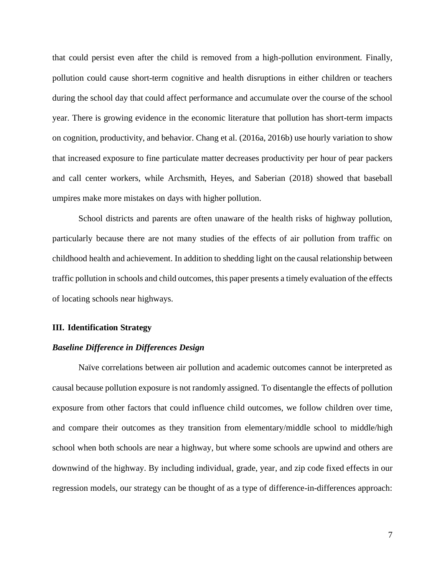that could persist even after the child is removed from a high-pollution environment. Finally, pollution could cause short-term cognitive and health disruptions in either children or teachers during the school day that could affect performance and accumulate over the course of the school year. There is growing evidence in the economic literature that pollution has short-term impacts on cognition, productivity, and behavior. Chang et al. (2016a, 2016b) use hourly variation to show that increased exposure to fine particulate matter decreases productivity per hour of pear packers and call center workers, while Archsmith, Heyes, and Saberian (2018) showed that baseball umpires make more mistakes on days with higher pollution.

School districts and parents are often unaware of the health risks of highway pollution, particularly because there are not many studies of the effects of air pollution from traffic on childhood health and achievement. In addition to shedding light on the causal relationship between traffic pollution in schools and child outcomes, this paper presents a timely evaluation of the effects of locating schools near highways.

### **III. Identification Strategy**

## *Baseline Difference in Differences Design*

Naïve correlations between air pollution and academic outcomes cannot be interpreted as causal because pollution exposure is not randomly assigned. To disentangle the effects of pollution exposure from other factors that could influence child outcomes, we follow children over time, and compare their outcomes as they transition from elementary/middle school to middle/high school when both schools are near a highway, but where some schools are upwind and others are downwind of the highway. By including individual, grade, year, and zip code fixed effects in our regression models, our strategy can be thought of as a type of difference-in-differences approach: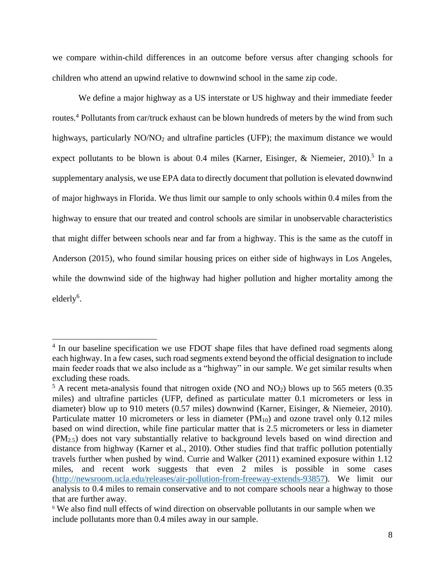we compare within-child differences in an outcome before versus after changing schools for children who attend an upwind relative to downwind school in the same zip code.

We define a major highway as a US interstate or US highway and their immediate feeder routes. <sup>4</sup> Pollutants from car/truck exhaust can be blown hundreds of meters by the wind from such highways, particularly NO/NO<sub>2</sub> and ultrafine particles (UFP); the maximum distance we would expect pollutants to be blown is about 0.4 miles (Karner, Eisinger, & Niemeier, 2010).<sup>5</sup> In a supplementary analysis, we use EPA data to directly document that pollution is elevated downwind of major highways in Florida. We thus limit our sample to only schools within 0.4 miles from the highway to ensure that our treated and control schools are similar in unobservable characteristics that might differ between schools near and far from a highway. This is the same as the cutoff in Anderson (2015), who found similar housing prices on either side of highways in Los Angeles, while the downwind side of the highway had higher pollution and higher mortality among the  $elderly<sup>6</sup>$ .

<sup>&</sup>lt;sup>4</sup> In our baseline specification we use FDOT shape files that have defined road segments along each highway. In a few cases, such road segments extend beyond the official designation to include main feeder roads that we also include as a "highway" in our sample. We get similar results when excluding these roads.

 $5$  A recent meta-analysis found that nitrogen oxide (NO and NO<sub>2</sub>) blows up to 565 meters (0.35) miles) and ultrafine particles (UFP, defined as particulate matter 0.1 micrometers or less in diameter) blow up to 910 meters (0.57 miles) downwind (Karner, Eisinger, & Niemeier, 2010). Particulate matter 10 micrometers or less in diameter  $(PM_{10})$  and ozone travel only 0.12 miles based on wind direction, while fine particular matter that is 2.5 micrometers or less in diameter (PM2.5) does not vary substantially relative to background levels based on wind direction and distance from highway (Karner et al., 2010). Other studies find that traffic pollution potentially travels further when pushed by wind. Currie and Walker (2011) examined exposure within 1.12 miles, and recent work suggests that even 2 miles is possible in some cases [\(http://newsroom.ucla.edu/releases/air-pollution-from-freeway-extends-93857\)](http://newsroom.ucla.edu/releases/air-pollution-from-freeway-extends-93857). We limit our analysis to 0.4 miles to remain conservative and to not compare schools near a highway to those that are further away.

<sup>&</sup>lt;sup>6</sup> We also find null effects of wind direction on observable pollutants in our sample when we include pollutants more than 0.4 miles away in our sample.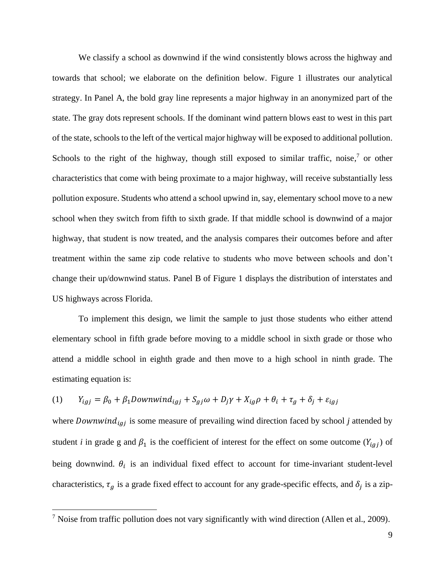We classify a school as downwind if the wind consistently blows across the highway and towards that school; we elaborate on the definition below. Figure 1 illustrates our analytical strategy. In Panel A, the bold gray line represents a major highway in an anonymized part of the state. The gray dots represent schools. If the dominant wind pattern blows east to west in this part of the state, schools to the left of the vertical major highway will be exposed to additional pollution. Schools to the right of the highway, though still exposed to similar traffic, noise, $7$  or other characteristics that come with being proximate to a major highway, will receive substantially less pollution exposure. Students who attend a school upwind in, say, elementary school move to a new school when they switch from fifth to sixth grade. If that middle school is downwind of a major highway, that student is now treated, and the analysis compares their outcomes before and after treatment within the same zip code relative to students who move between schools and don't change their up/downwind status. Panel B of Figure 1 displays the distribution of interstates and US highways across Florida.

To implement this design, we limit the sample to just those students who either attend elementary school in fifth grade before moving to a middle school in sixth grade or those who attend a middle school in eighth grade and then move to a high school in ninth grade. The estimating equation is:

(1) 
$$
Y_{igj} = \beta_0 + \beta_1
$$
Downwind<sub>igj</sub> +  $S_{gj}\omega + D_j\gamma + X_{ig}\rho + \theta_i + \tau_g + \delta_j + \varepsilon_{igj}$ 

where  $Downwind_{igj}$  is some measure of prevailing wind direction faced by school  $j$  attended by student *i* in grade g and  $\beta_1$  is the coefficient of interest for the effect on some outcome ( $Y_{igj}$ ) of being downwind.  $\theta_i$  is an individual fixed effect to account for time-invariant student-level characteristics,  $\tau_g$  is a grade fixed effect to account for any grade-specific effects, and  $\delta_j$  is a zip-

<sup>&</sup>lt;sup>7</sup> Noise from traffic pollution does not vary significantly with wind direction (Allen et al., 2009).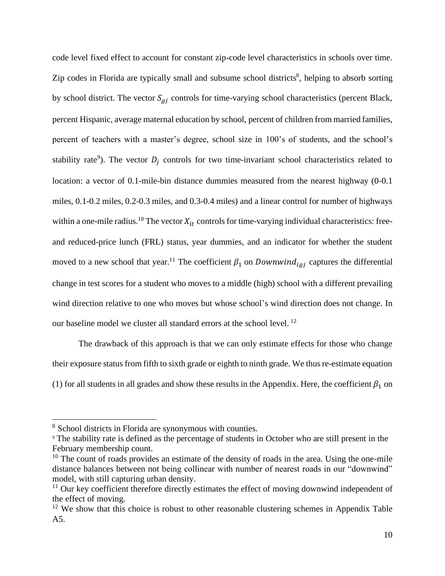code level fixed effect to account for constant zip-code level characteristics in schools over time. Zip codes in Florida are typically small and subsume school districts<sup>8</sup>, helping to absorb sorting by school district. The vector  $S_{qi}$  controls for time-varying school characteristics (percent Black, percent Hispanic, average maternal education by school, percent of children from married families, percent of teachers with a master's degree, school size in 100's of students, and the school's stability rate<sup>9</sup>). The vector  $D_j$  controls for two time-invariant school characteristics related to location: a vector of 0.1-mile-bin distance dummies measured from the nearest highway (0-0.1 miles, 0.1-0.2 miles, 0.2-0.3 miles, and 0.3-0.4 miles) and a linear control for number of highways within a one-mile radius.<sup>10</sup> The vector  $X_{it}$  controls for time-varying individual characteristics: freeand reduced-price lunch (FRL) status, year dummies, and an indicator for whether the student moved to a new school that year.<sup>11</sup> The coefficient  $\beta_1$  on *Downwind*<sub>iai</sub> captures the differential change in test scores for a student who moves to a middle (high) school with a different prevailing wind direction relative to one who moves but whose school's wind direction does not change. In our baseline model we cluster all standard errors at the school level.<sup>12</sup>

The drawback of this approach is that we can only estimate effects for those who change their exposure status from fifth to sixth grade or eighth to ninth grade. We thus re-estimate equation (1) for all students in all grades and show these results in the Appendix. Here, the coefficient  $\beta_1$  on

<sup>8</sup> School districts in Florida are synonymous with counties.

<sup>9</sup> The stability rate is defined as the percentage of students in October who are still present in the February membership count.

<sup>&</sup>lt;sup>10</sup> The count of roads provides an estimate of the density of roads in the area. Using the one-mile distance balances between not being collinear with number of nearest roads in our "downwind" model, with still capturing urban density.

<sup>&</sup>lt;sup>11</sup> Our key coefficient therefore directly estimates the effect of moving downwind independent of the effect of moving.

 $12$  We show that this choice is robust to other reasonable clustering schemes in Appendix Table A5.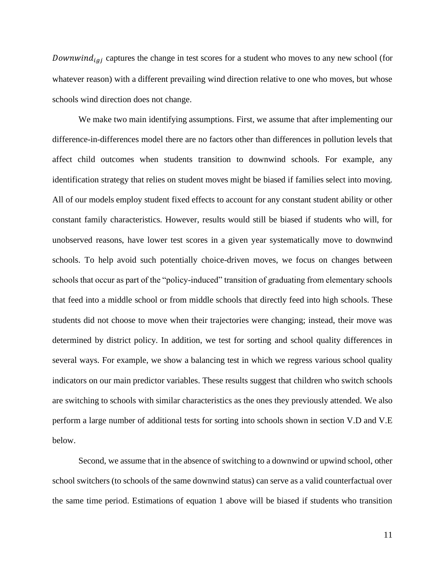Downwind<sub>iaj</sub> captures the change in test scores for a student who moves to any new school (for whatever reason) with a different prevailing wind direction relative to one who moves, but whose schools wind direction does not change.

We make two main identifying assumptions. First, we assume that after implementing our difference-in-differences model there are no factors other than differences in pollution levels that affect child outcomes when students transition to downwind schools. For example, any identification strategy that relies on student moves might be biased if families select into moving. All of our models employ student fixed effects to account for any constant student ability or other constant family characteristics. However, results would still be biased if students who will, for unobserved reasons, have lower test scores in a given year systematically move to downwind schools. To help avoid such potentially choice-driven moves, we focus on changes between schools that occur as part of the "policy-induced" transition of graduating from elementary schools that feed into a middle school or from middle schools that directly feed into high schools. These students did not choose to move when their trajectories were changing; instead, their move was determined by district policy. In addition, we test for sorting and school quality differences in several ways. For example, we show a balancing test in which we regress various school quality indicators on our main predictor variables. These results suggest that children who switch schools are switching to schools with similar characteristics as the ones they previously attended. We also perform a large number of additional tests for sorting into schools shown in section V.D and V.E below.

Second, we assume that in the absence of switching to a downwind or upwind school, other school switchers (to schools of the same downwind status) can serve as a valid counterfactual over the same time period. Estimations of equation 1 above will be biased if students who transition

11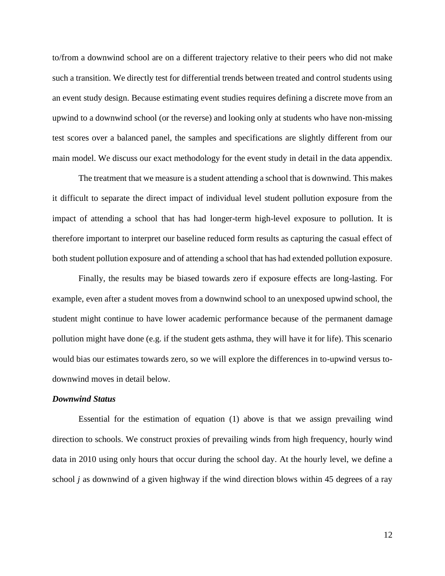to/from a downwind school are on a different trajectory relative to their peers who did not make such a transition. We directly test for differential trends between treated and control students using an event study design. Because estimating event studies requires defining a discrete move from an upwind to a downwind school (or the reverse) and looking only at students who have non-missing test scores over a balanced panel, the samples and specifications are slightly different from our main model. We discuss our exact methodology for the event study in detail in the data appendix.

The treatment that we measure is a student attending a school that is downwind. This makes it difficult to separate the direct impact of individual level student pollution exposure from the impact of attending a school that has had longer-term high-level exposure to pollution. It is therefore important to interpret our baseline reduced form results as capturing the casual effect of both student pollution exposure and of attending a school that has had extended pollution exposure.

Finally, the results may be biased towards zero if exposure effects are long-lasting. For example, even after a student moves from a downwind school to an unexposed upwind school, the student might continue to have lower academic performance because of the permanent damage pollution might have done (e.g. if the student gets asthma, they will have it for life). This scenario would bias our estimates towards zero, so we will explore the differences in to-upwind versus todownwind moves in detail below.

### *Downwind Status*

Essential for the estimation of equation (1) above is that we assign prevailing wind direction to schools. We construct proxies of prevailing winds from high frequency, hourly wind data in 2010 using only hours that occur during the school day. At the hourly level, we define a school *j* as downwind of a given highway if the wind direction blows within 45 degrees of a ray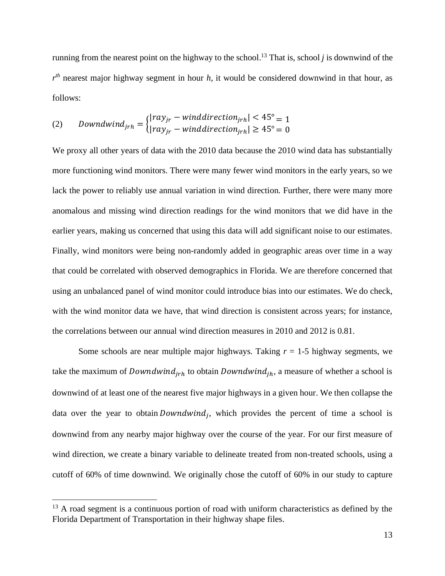running from the nearest point on the highway to the school. <sup>13</sup> That is, school *j* is downwind of the  $r<sup>th</sup>$  nearest major highway segment in hour *h*, it would be considered downwind in that hour, as follows:

$$
(2) \qquad \text{Download} \text{wind} \text{d} \text{ir} = \begin{cases} |ray_{jr} - window \text{d} \text{iraction}_{jrh} | < 45^{\circ} = 1\\ |ray_{jr} - window \text{d} \text{d} \text{irection}_{jrh} | > 45^{\circ} = 0 \end{cases}
$$

We proxy all other years of data with the 2010 data because the 2010 wind data has substantially more functioning wind monitors. There were many fewer wind monitors in the early years, so we lack the power to reliably use annual variation in wind direction. Further, there were many more anomalous and missing wind direction readings for the wind monitors that we did have in the earlier years, making us concerned that using this data will add significant noise to our estimates. Finally, wind monitors were being non-randomly added in geographic areas over time in a way that could be correlated with observed demographics in Florida. We are therefore concerned that using an unbalanced panel of wind monitor could introduce bias into our estimates. We do check, with the wind monitor data we have, that wind direction is consistent across years; for instance, the correlations between our annual wind direction measures in 2010 and 2012 is 0.81.

Some schools are near multiple major highways. Taking *r* = 1-5 highway segments, we take the maximum of *Downdwind<sub>irh</sub>* to obtain *Downdwind<sub>ih</sub>*, a measure of whether a school is downwind of at least one of the nearest five major highways in a given hour. We then collapse the data over the year to obtain *Downdwind<sub>j</sub>*, which provides the percent of time a school is downwind from any nearby major highway over the course of the year. For our first measure of wind direction, we create a binary variable to delineate treated from non-treated schools, using a cutoff of 60% of time downwind. We originally chose the cutoff of 60% in our study to capture

<sup>&</sup>lt;sup>13</sup> A road segment is a continuous portion of road with uniform characteristics as defined by the Florida Department of Transportation in their highway shape files.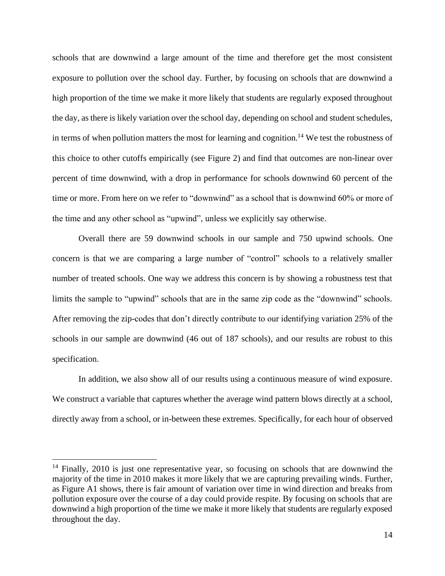schools that are downwind a large amount of the time and therefore get the most consistent exposure to pollution over the school day. Further, by focusing on schools that are downwind a high proportion of the time we make it more likely that students are regularly exposed throughout the day, as there is likely variation over the school day, depending on school and student schedules, in terms of when pollution matters the most for learning and cognition.<sup>14</sup> We test the robustness of this choice to other cutoffs empirically (see Figure 2) and find that outcomes are non-linear over percent of time downwind, with a drop in performance for schools downwind 60 percent of the time or more. From here on we refer to "downwind" as a school that is downwind 60% or more of the time and any other school as "upwind", unless we explicitly say otherwise.

Overall there are 59 downwind schools in our sample and 750 upwind schools. One concern is that we are comparing a large number of "control" schools to a relatively smaller number of treated schools. One way we address this concern is by showing a robustness test that limits the sample to "upwind" schools that are in the same zip code as the "downwind" schools. After removing the zip-codes that don't directly contribute to our identifying variation 25% of the schools in our sample are downwind (46 out of 187 schools), and our results are robust to this specification.

In addition, we also show all of our results using a continuous measure of wind exposure. We construct a variable that captures whether the average wind pattern blows directly at a school, directly away from a school, or in-between these extremes. Specifically, for each hour of observed

<sup>&</sup>lt;sup>14</sup> Finally, 2010 is just one representative year, so focusing on schools that are downwind the majority of the time in 2010 makes it more likely that we are capturing prevailing winds. Further, as Figure A1 shows, there is fair amount of variation over time in wind direction and breaks from pollution exposure over the course of a day could provide respite. By focusing on schools that are downwind a high proportion of the time we make it more likely that students are regularly exposed throughout the day.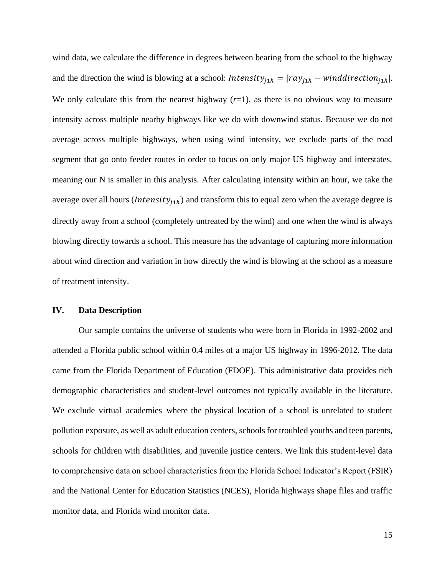wind data, we calculate the difference in degrees between bearing from the school to the highway and the direction the wind is blowing at a school:  $Intensity_{j1h} = |ray_{j1h} - windowid direction_{j1h}|$ . We only calculate this from the nearest highway  $(r=1)$ , as there is no obvious way to measure intensity across multiple nearby highways like we do with downwind status. Because we do not average across multiple highways, when using wind intensity, we exclude parts of the road segment that go onto feeder routes in order to focus on only major US highway and interstates, meaning our N is smaller in this analysis. After calculating intensity within an hour, we take the average over all hours (*Intensity*<sub>*i*1*h*</sub>) and transform this to equal zero when the average degree is directly away from a school (completely untreated by the wind) and one when the wind is always blowing directly towards a school. This measure has the advantage of capturing more information about wind direction and variation in how directly the wind is blowing at the school as a measure of treatment intensity.

### **IV. Data Description**

Our sample contains the universe of students who were born in Florida in 1992-2002 and attended a Florida public school within 0.4 miles of a major US highway in 1996-2012. The data came from the Florida Department of Education (FDOE). This administrative data provides rich demographic characteristics and student-level outcomes not typically available in the literature. We exclude virtual academies where the physical location of a school is unrelated to student pollution exposure, as well as adult education centers, schools for troubled youths and teen parents, schools for children with disabilities, and juvenile justice centers. We link this student-level data to comprehensive data on school characteristics from the Florida School Indicator's Report (FSIR) and the National Center for Education Statistics (NCES), Florida highways shape files and traffic monitor data, and Florida wind monitor data.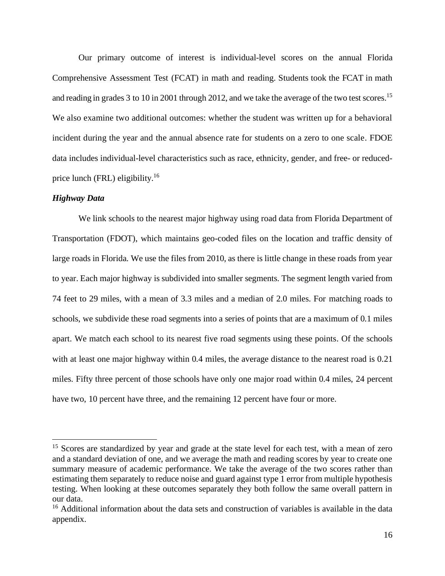Our primary outcome of interest is individual-level scores on the annual Florida Comprehensive Assessment Test (FCAT) in math and reading. Students took the FCAT in math and reading in grades 3 to 10 in 2001 through 2012, and we take the average of the two test scores.<sup>15</sup> We also examine two additional outcomes: whether the student was written up for a behavioral incident during the year and the annual absence rate for students on a zero to one scale. FDOE data includes individual-level characteristics such as race, ethnicity, gender, and free- or reducedprice lunch (FRL) eligibility.<sup>16</sup>

#### *Highway Data*

We link schools to the nearest major highway using road data from Florida Department of Transportation (FDOT), which maintains geo-coded files on the location and traffic density of large roads in Florida. We use the files from 2010, as there is little change in these roads from year to year. Each major highway is subdivided into smaller segments. The segment length varied from 74 feet to 29 miles, with a mean of 3.3 miles and a median of 2.0 miles. For matching roads to schools, we subdivide these road segments into a series of points that are a maximum of 0.1 miles apart. We match each school to its nearest five road segments using these points. Of the schools with at least one major highway within 0.4 miles, the average distance to the nearest road is 0.21 miles. Fifty three percent of those schools have only one major road within 0.4 miles, 24 percent have two, 10 percent have three, and the remaining 12 percent have four or more.

<sup>&</sup>lt;sup>15</sup> Scores are standardized by year and grade at the state level for each test, with a mean of zero and a standard deviation of one, and we average the math and reading scores by year to create one summary measure of academic performance. We take the average of the two scores rather than estimating them separately to reduce noise and guard against type 1 error from multiple hypothesis testing. When looking at these outcomes separately they both follow the same overall pattern in our data.

<sup>&</sup>lt;sup>16</sup> Additional information about the data sets and construction of variables is available in the data appendix.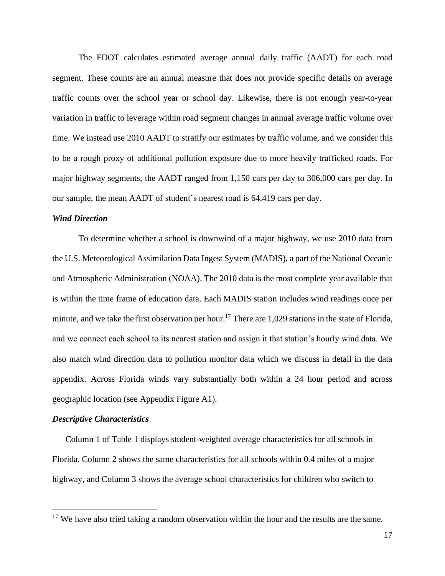The FDOT calculates estimated average annual daily traffic (AADT) for each road segment. These counts are an annual measure that does not provide specific details on average traffic counts over the school year or school day. Likewise, there is not enough year-to-year variation in traffic to leverage within road segment changes in annual average traffic volume over time. We instead use 2010 AADT to stratify our estimates by traffic volume, and we consider this to be a rough proxy of additional pollution exposure due to more heavily trafficked roads. For major highway segments, the AADT ranged from 1,150 cars per day to 306,000 cars per day. In our sample, the mean AADT of student's nearest road is 64,419 cars per day.

#### *Wind Direction*

To determine whether a school is downwind of a major highway, we use 2010 data from the U.S. Meteorological Assimilation Data Ingest System (MADIS), a part of the National Oceanic and Atmospheric Administration (NOAA). The 2010 data is the most complete year available that is within the time frame of education data. Each MADIS station includes wind readings once per minute, and we take the first observation per hour.<sup>17</sup> There are 1,029 stations in the state of Florida, and we connect each school to its nearest station and assign it that station's hourly wind data. We also match wind direction data to pollution monitor data which we discuss in detail in the data appendix. Across Florida winds vary substantially both within a 24 hour period and across geographic location (see Appendix Figure A1).

#### *Descriptive Characteristics*

Column 1 of Table 1 displays student-weighted average characteristics for all schools in Florida. Column 2 shows the same characteristics for all schools within 0.4 miles of a major highway, and Column 3 shows the average school characteristics for children who switch to

 $17$  We have also tried taking a random observation within the hour and the results are the same.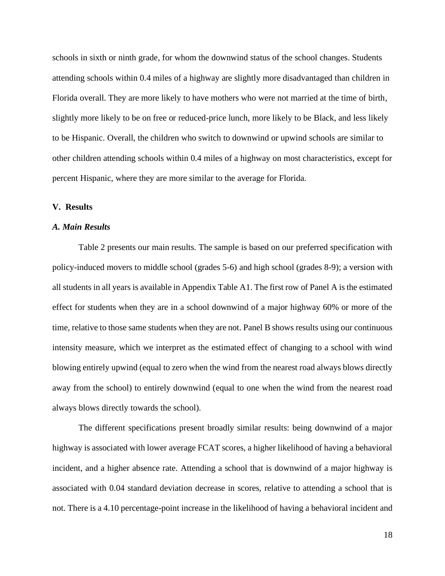schools in sixth or ninth grade, for whom the downwind status of the school changes. Students attending schools within 0.4 miles of a highway are slightly more disadvantaged than children in Florida overall. They are more likely to have mothers who were not married at the time of birth, slightly more likely to be on free or reduced-price lunch, more likely to be Black, and less likely to be Hispanic. Overall, the children who switch to downwind or upwind schools are similar to other children attending schools within 0.4 miles of a highway on most characteristics, except for percent Hispanic, where they are more similar to the average for Florida.

### **V. Results**

#### *A. Main Results*

Table 2 presents our main results. The sample is based on our preferred specification with policy-induced movers to middle school (grades 5-6) and high school (grades 8-9); a version with all students in all years is available in Appendix Table A1. The first row of Panel A is the estimated effect for students when they are in a school downwind of a major highway 60% or more of the time, relative to those same students when they are not. Panel B shows results using our continuous intensity measure, which we interpret as the estimated effect of changing to a school with wind blowing entirely upwind (equal to zero when the wind from the nearest road always blows directly away from the school) to entirely downwind (equal to one when the wind from the nearest road always blows directly towards the school).

The different specifications present broadly similar results: being downwind of a major highway is associated with lower average FCAT scores, a higher likelihood of having a behavioral incident, and a higher absence rate. Attending a school that is downwind of a major highway is associated with 0.04 standard deviation decrease in scores, relative to attending a school that is not. There is a 4.10 percentage-point increase in the likelihood of having a behavioral incident and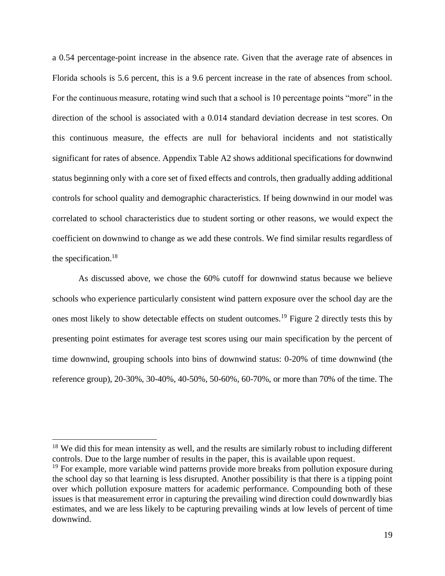a 0.54 percentage-point increase in the absence rate. Given that the average rate of absences in Florida schools is 5.6 percent, this is a 9.6 percent increase in the rate of absences from school. For the continuous measure, rotating wind such that a school is 10 percentage points "more" in the direction of the school is associated with a 0.014 standard deviation decrease in test scores. On this continuous measure, the effects are null for behavioral incidents and not statistically significant for rates of absence. Appendix Table A2 shows additional specifications for downwind status beginning only with a core set of fixed effects and controls, then gradually adding additional controls for school quality and demographic characteristics. If being downwind in our model was correlated to school characteristics due to student sorting or other reasons, we would expect the coefficient on downwind to change as we add these controls. We find similar results regardless of the specification. 18

As discussed above, we chose the 60% cutoff for downwind status because we believe schools who experience particularly consistent wind pattern exposure over the school day are the ones most likely to show detectable effects on student outcomes.<sup>19</sup> Figure 2 directly tests this by presenting point estimates for average test scores using our main specification by the percent of time downwind, grouping schools into bins of downwind status: 0-20% of time downwind (the reference group), 20-30%, 30-40%, 40-50%, 50-60%, 60-70%, or more than 70% of the time. The

 $18$  We did this for mean intensity as well, and the results are similarly robust to including different controls. Due to the large number of results in the paper, this is available upon request.

 $19$  For example, more variable wind patterns provide more breaks from pollution exposure during the school day so that learning is less disrupted. Another possibility is that there is a tipping point over which pollution exposure matters for academic performance. Compounding both of these issues is that measurement error in capturing the prevailing wind direction could downwardly bias estimates, and we are less likely to be capturing prevailing winds at low levels of percent of time downwind.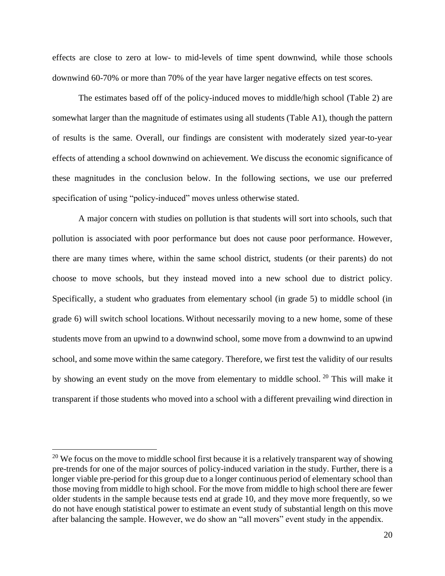effects are close to zero at low- to mid-levels of time spent downwind, while those schools downwind 60-70% or more than 70% of the year have larger negative effects on test scores.

The estimates based off of the policy-induced moves to middle/high school (Table 2) are somewhat larger than the magnitude of estimates using all students (Table A1), though the pattern of results is the same. Overall, our findings are consistent with moderately sized year-to-year effects of attending a school downwind on achievement. We discuss the economic significance of these magnitudes in the conclusion below. In the following sections, we use our preferred specification of using "policy-induced" moves unless otherwise stated.

A major concern with studies on pollution is that students will sort into schools, such that pollution is associated with poor performance but does not cause poor performance. However, there are many times where, within the same school district, students (or their parents) do not choose to move schools, but they instead moved into a new school due to district policy. Specifically, a student who graduates from elementary school (in grade 5) to middle school (in grade 6) will switch school locations. Without necessarily moving to a new home, some of these students move from an upwind to a downwind school, some move from a downwind to an upwind school, and some move within the same category. Therefore, we first test the validity of our results by showing an event study on the move from elementary to middle school. <sup>20</sup> This will make it transparent if those students who moved into a school with a different prevailing wind direction in

<sup>&</sup>lt;sup>20</sup> We focus on the move to middle school first because it is a relatively transparent way of showing pre-trends for one of the major sources of policy-induced variation in the study. Further, there is a longer viable pre-period for this group due to a longer continuous period of elementary school than those moving from middle to high school. For the move from middle to high school there are fewer older students in the sample because tests end at grade 10, and they move more frequently, so we do not have enough statistical power to estimate an event study of substantial length on this move after balancing the sample. However, we do show an "all movers" event study in the appendix.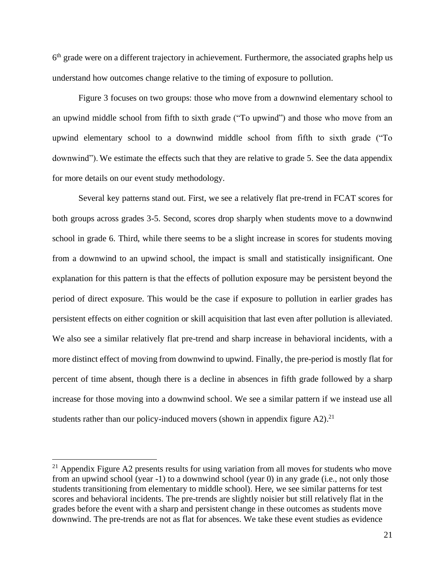6<sup>th</sup> grade were on a different trajectory in achievement. Furthermore, the associated graphs help us understand how outcomes change relative to the timing of exposure to pollution.

Figure 3 focuses on two groups: those who move from a downwind elementary school to an upwind middle school from fifth to sixth grade ("To upwind") and those who move from an upwind elementary school to a downwind middle school from fifth to sixth grade ("To downwind"). We estimate the effects such that they are relative to grade 5. See the data appendix for more details on our event study methodology.

Several key patterns stand out. First, we see a relatively flat pre-trend in FCAT scores for both groups across grades 3-5. Second, scores drop sharply when students move to a downwind school in grade 6. Third, while there seems to be a slight increase in scores for students moving from a downwind to an upwind school, the impact is small and statistically insignificant. One explanation for this pattern is that the effects of pollution exposure may be persistent beyond the period of direct exposure. This would be the case if exposure to pollution in earlier grades has persistent effects on either cognition or skill acquisition that last even after pollution is alleviated. We also see a similar relatively flat pre-trend and sharp increase in behavioral incidents, with a more distinct effect of moving from downwind to upwind. Finally, the pre-period is mostly flat for percent of time absent, though there is a decline in absences in fifth grade followed by a sharp increase for those moving into a downwind school. We see a similar pattern if we instead use all students rather than our policy-induced movers (shown in appendix figure  $A2$ ).<sup>21</sup>

<sup>&</sup>lt;sup>21</sup> Appendix Figure A2 presents results for using variation from all moves for students who move from an upwind school (year -1) to a downwind school (year 0) in any grade (i.e., not only those students transitioning from elementary to middle school). Here, we see similar patterns for test scores and behavioral incidents. The pre-trends are slightly noisier but still relatively flat in the grades before the event with a sharp and persistent change in these outcomes as students move downwind. The pre-trends are not as flat for absences. We take these event studies as evidence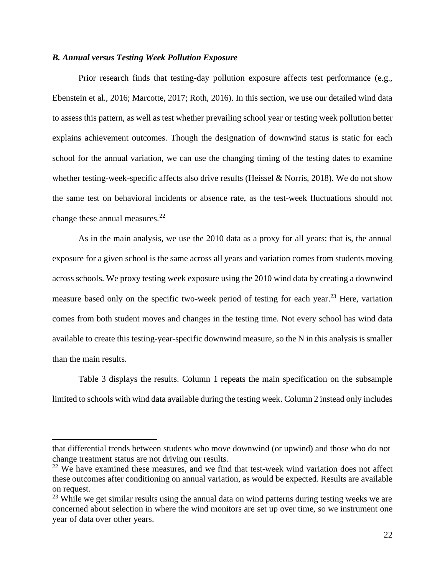## *B. Annual versus Testing Week Pollution Exposure*

Prior research finds that testing-day pollution exposure affects test performance (e.g., Ebenstein et al., 2016; Marcotte, 2017; Roth, 2016). In this section, we use our detailed wind data to assess this pattern, as well as test whether prevailing school year or testing week pollution better explains achievement outcomes. Though the designation of downwind status is static for each school for the annual variation, we can use the changing timing of the testing dates to examine whether testing-week-specific affects also drive results (Heissel & Norris, 2018). We do not show the same test on behavioral incidents or absence rate, as the test-week fluctuations should not change these annual measures. $^{22}$ 

As in the main analysis, we use the 2010 data as a proxy for all years; that is, the annual exposure for a given school is the same across all years and variation comes from students moving across schools. We proxy testing week exposure using the 2010 wind data by creating a downwind measure based only on the specific two-week period of testing for each year.<sup>23</sup> Here, variation comes from both student moves and changes in the testing time. Not every school has wind data available to create this testing-year-specific downwind measure, so the N in this analysis is smaller than the main results.

Table 3 displays the results. Column 1 repeats the main specification on the subsample limited to schools with wind data available during the testing week. Column 2 instead only includes

that differential trends between students who move downwind (or upwind) and those who do not change treatment status are not driving our results.

<sup>&</sup>lt;sup>22</sup> We have examined these measures, and we find that test-week wind variation does not affect these outcomes after conditioning on annual variation, as would be expected. Results are available on request.

 $23$  While we get similar results using the annual data on wind patterns during testing weeks we are concerned about selection in where the wind monitors are set up over time, so we instrument one year of data over other years.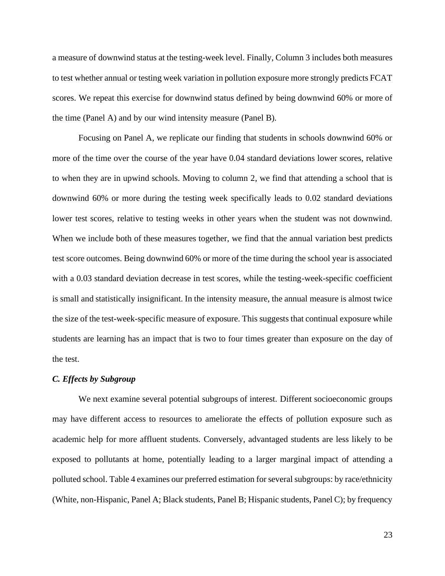a measure of downwind status at the testing-week level. Finally, Column 3 includes both measures to test whether annual or testing week variation in pollution exposure more strongly predicts FCAT scores. We repeat this exercise for downwind status defined by being downwind 60% or more of the time (Panel A) and by our wind intensity measure (Panel B).

Focusing on Panel A, we replicate our finding that students in schools downwind 60% or more of the time over the course of the year have 0.04 standard deviations lower scores, relative to when they are in upwind schools. Moving to column 2, we find that attending a school that is downwind 60% or more during the testing week specifically leads to 0.02 standard deviations lower test scores, relative to testing weeks in other years when the student was not downwind. When we include both of these measures together, we find that the annual variation best predicts test score outcomes. Being downwind 60% or more of the time during the school year is associated with a 0.03 standard deviation decrease in test scores, while the testing-week-specific coefficient is small and statistically insignificant. In the intensity measure, the annual measure is almost twice the size of the test-week-specific measure of exposure. This suggests that continual exposure while students are learning has an impact that is two to four times greater than exposure on the day of the test.

#### *C. Effects by Subgroup*

We next examine several potential subgroups of interest. Different socioeconomic groups may have different access to resources to ameliorate the effects of pollution exposure such as academic help for more affluent students. Conversely, advantaged students are less likely to be exposed to pollutants at home, potentially leading to a larger marginal impact of attending a polluted school. Table 4 examines our preferred estimation for several subgroups: by race/ethnicity (White, non-Hispanic, Panel A; Black students, Panel B; Hispanic students, Panel C); by frequency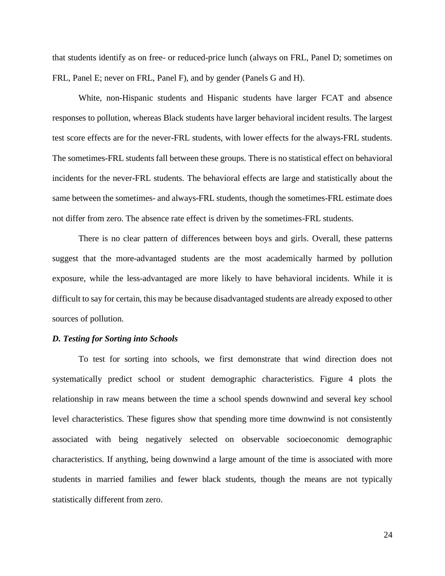that students identify as on free- or reduced-price lunch (always on FRL, Panel D; sometimes on FRL, Panel E; never on FRL, Panel F), and by gender (Panels G and H).

White, non-Hispanic students and Hispanic students have larger FCAT and absence responses to pollution, whereas Black students have larger behavioral incident results. The largest test score effects are for the never-FRL students, with lower effects for the always-FRL students. The sometimes-FRL students fall between these groups. There is no statistical effect on behavioral incidents for the never-FRL students. The behavioral effects are large and statistically about the same between the sometimes- and always-FRL students, though the sometimes-FRL estimate does not differ from zero. The absence rate effect is driven by the sometimes-FRL students.

There is no clear pattern of differences between boys and girls. Overall, these patterns suggest that the more-advantaged students are the most academically harmed by pollution exposure, while the less-advantaged are more likely to have behavioral incidents. While it is difficult to say for certain, this may be because disadvantaged students are already exposed to other sources of pollution.

#### *D. Testing for Sorting into Schools*

To test for sorting into schools, we first demonstrate that wind direction does not systematically predict school or student demographic characteristics. Figure 4 plots the relationship in raw means between the time a school spends downwind and several key school level characteristics. These figures show that spending more time downwind is not consistently associated with being negatively selected on observable socioeconomic demographic characteristics. If anything, being downwind a large amount of the time is associated with more students in married families and fewer black students, though the means are not typically statistically different from zero.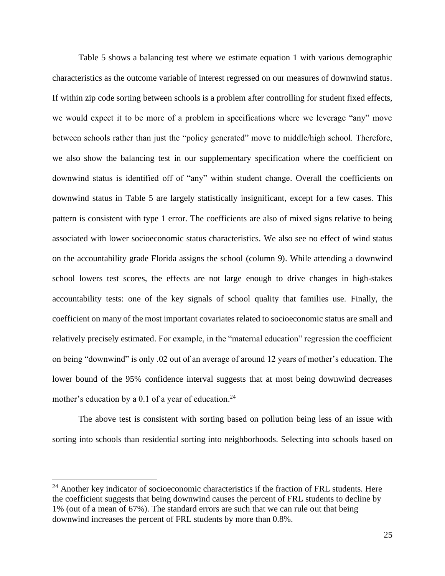Table 5 shows a balancing test where we estimate equation 1 with various demographic characteristics as the outcome variable of interest regressed on our measures of downwind status. If within zip code sorting between schools is a problem after controlling for student fixed effects, we would expect it to be more of a problem in specifications where we leverage "any" move between schools rather than just the "policy generated" move to middle/high school. Therefore, we also show the balancing test in our supplementary specification where the coefficient on downwind status is identified off of "any" within student change. Overall the coefficients on downwind status in Table 5 are largely statistically insignificant, except for a few cases. This pattern is consistent with type 1 error. The coefficients are also of mixed signs relative to being associated with lower socioeconomic status characteristics. We also see no effect of wind status on the accountability grade Florida assigns the school (column 9). While attending a downwind school lowers test scores, the effects are not large enough to drive changes in high-stakes accountability tests: one of the key signals of school quality that families use. Finally, the coefficient on many of the most important covariates related to socioeconomic status are small and relatively precisely estimated. For example, in the "maternal education" regression the coefficient on being "downwind" is only .02 out of an average of around 12 years of mother's education. The lower bound of the 95% confidence interval suggests that at most being downwind decreases mother's education by a 0.1 of a year of education.<sup>24</sup>

The above test is consistent with sorting based on pollution being less of an issue with sorting into schools than residential sorting into neighborhoods. Selecting into schools based on

<sup>&</sup>lt;sup>24</sup> Another key indicator of socioeconomic characteristics if the fraction of FRL students. Here the coefficient suggests that being downwind causes the percent of FRL students to decline by 1% (out of a mean of 67%). The standard errors are such that we can rule out that being downwind increases the percent of FRL students by more than 0.8%.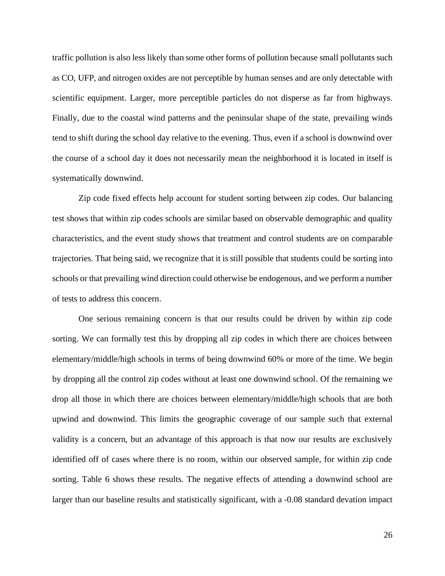traffic pollution is also less likely than some other forms of pollution because small pollutants such as CO, UFP, and nitrogen oxides are not perceptible by human senses and are only detectable with scientific equipment. Larger, more perceptible particles do not disperse as far from highways. Finally, due to the coastal wind patterns and the peninsular shape of the state, prevailing winds tend to shift during the school day relative to the evening. Thus, even if a school is downwind over the course of a school day it does not necessarily mean the neighborhood it is located in itself is systematically downwind.

Zip code fixed effects help account for student sorting between zip codes. Our balancing test shows that within zip codes schools are similar based on observable demographic and quality characteristics, and the event study shows that treatment and control students are on comparable trajectories. That being said, we recognize that it is still possible that students could be sorting into schools or that prevailing wind direction could otherwise be endogenous, and we perform a number of tests to address this concern.

One serious remaining concern is that our results could be driven by within zip code sorting. We can formally test this by dropping all zip codes in which there are choices between elementary/middle/high schools in terms of being downwind 60% or more of the time. We begin by dropping all the control zip codes without at least one downwind school. Of the remaining we drop all those in which there are choices between elementary/middle/high schools that are both upwind and downwind. This limits the geographic coverage of our sample such that external validity is a concern, but an advantage of this approach is that now our results are exclusively identified off of cases where there is no room, within our observed sample, for within zip code sorting. Table 6 shows these results. The negative effects of attending a downwind school are larger than our baseline results and statistically significant, with a -0.08 standard devation impact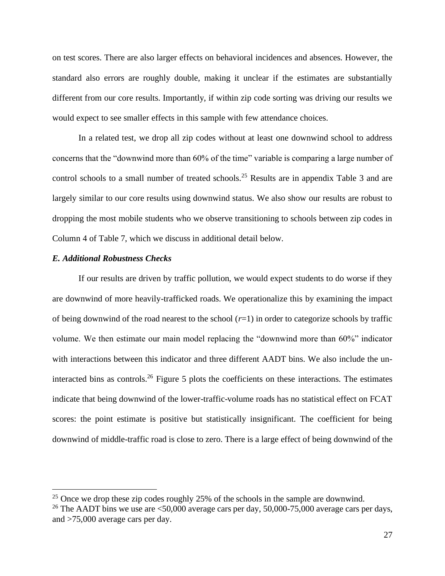on test scores. There are also larger effects on behavioral incidences and absences. However, the standard also errors are roughly double, making it unclear if the estimates are substantially different from our core results. Importantly, if within zip code sorting was driving our results we would expect to see smaller effects in this sample with few attendance choices.

In a related test, we drop all zip codes without at least one downwind school to address concerns that the "downwind more than 60% of the time" variable is comparing a large number of control schools to a small number of treated schools. <sup>25</sup> Results are in appendix Table 3 and are largely similar to our core results using downwind status. We also show our results are robust to dropping the most mobile students who we observe transitioning to schools between zip codes in Column 4 of Table 7, which we discuss in additional detail below.

### *E. Additional Robustness Checks*

If our results are driven by traffic pollution, we would expect students to do worse if they are downwind of more heavily-trafficked roads. We operationalize this by examining the impact of being downwind of the road nearest to the school  $(r=1)$  in order to categorize schools by traffic volume. We then estimate our main model replacing the "downwind more than 60%" indicator with interactions between this indicator and three different AADT bins. We also include the uninteracted bins as controls.<sup>26</sup> Figure 5 plots the coefficients on these interactions. The estimates indicate that being downwind of the lower-traffic-volume roads has no statistical effect on FCAT scores: the point estimate is positive but statistically insignificant. The coefficient for being downwind of middle-traffic road is close to zero. There is a large effect of being downwind of the

<sup>&</sup>lt;sup>25</sup> Once we drop these zip codes roughly 25% of the schools in the sample are downwind.

<sup>&</sup>lt;sup>26</sup> The AADT bins we use are  $\leq 50,000$  average cars per day, 50,000-75,000 average cars per days, and >75,000 average cars per day.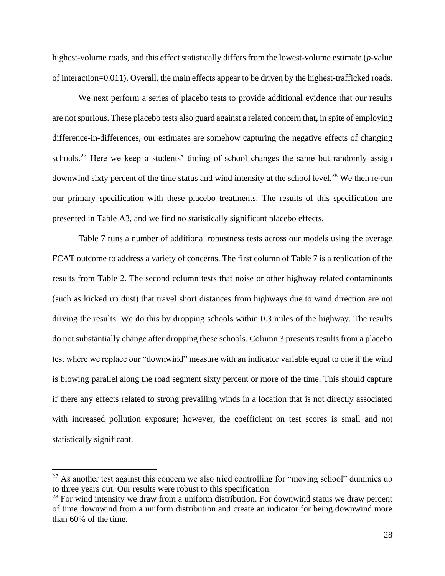highest-volume roads, and this effect statistically differs from the lowest-volume estimate (*p-*value of interaction=0.011). Overall, the main effects appear to be driven by the highest-trafficked roads.

We next perform a series of placebo tests to provide additional evidence that our results are not spurious. These placebo tests also guard against a related concern that, in spite of employing difference-in-differences, our estimates are somehow capturing the negative effects of changing schools.<sup>27</sup> Here we keep a students' timing of school changes the same but randomly assign downwind sixty percent of the time status and wind intensity at the school level.<sup>28</sup> We then re-run our primary specification with these placebo treatments. The results of this specification are presented in Table A3, and we find no statistically significant placebo effects.

Table 7 runs a number of additional robustness tests across our models using the average FCAT outcome to address a variety of concerns. The first column of Table 7 is a replication of the results from Table 2. The second column tests that noise or other highway related contaminants (such as kicked up dust) that travel short distances from highways due to wind direction are not driving the results. We do this by dropping schools within 0.3 miles of the highway. The results do not substantially change after dropping these schools. Column 3 presents results from a placebo test where we replace our "downwind" measure with an indicator variable equal to one if the wind is blowing parallel along the road segment sixty percent or more of the time. This should capture if there any effects related to strong prevailing winds in a location that is not directly associated with increased pollution exposure; however, the coefficient on test scores is small and not statistically significant.

 $27$  As another test against this concern we also tried controlling for "moving school" dummies up to three years out. Our results were robust to this specification.

 $28$  For wind intensity we draw from a uniform distribution. For downwind status we draw percent of time downwind from a uniform distribution and create an indicator for being downwind more than 60% of the time.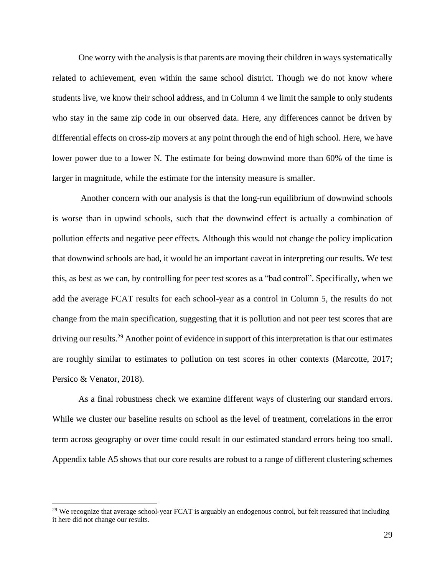One worry with the analysis is that parents are moving their children in wayssystematically related to achievement, even within the same school district. Though we do not know where students live, we know their school address, and in Column 4 we limit the sample to only students who stay in the same zip code in our observed data. Here, any differences cannot be driven by differential effects on cross-zip movers at any point through the end of high school. Here, we have lower power due to a lower N. The estimate for being downwind more than 60% of the time is larger in magnitude, while the estimate for the intensity measure is smaller.

Another concern with our analysis is that the long-run equilibrium of downwind schools is worse than in upwind schools, such that the downwind effect is actually a combination of pollution effects and negative peer effects. Although this would not change the policy implication that downwind schools are bad, it would be an important caveat in interpreting our results. We test this, as best as we can, by controlling for peer test scores as a "bad control". Specifically, when we add the average FCAT results for each school-year as a control in Column 5, the results do not change from the main specification, suggesting that it is pollution and not peer test scores that are driving our results.<sup>29</sup> Another point of evidence in support of this interpretation is that our estimates are roughly similar to estimates to pollution on test scores in other contexts (Marcotte, 2017; Persico & Venator, 2018).

As a final robustness check we examine different ways of clustering our standard errors. While we cluster our baseline results on school as the level of treatment, correlations in the error term across geography or over time could result in our estimated standard errors being too small. Appendix table A5 shows that our core results are robust to a range of different clustering schemes

<sup>&</sup>lt;sup>29</sup> We recognize that average school-year FCAT is arguably an endogenous control, but felt reassured that including it here did not change our results.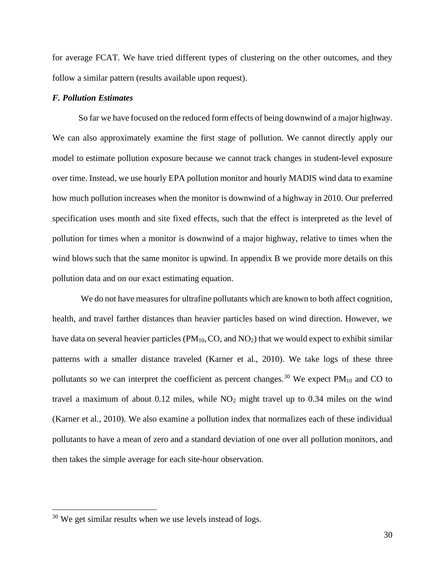for average FCAT. We have tried different types of clustering on the other outcomes, and they follow a similar pattern (results available upon request).

#### *F. Pollution Estimates*

So far we have focused on the reduced form effects of being downwind of a major highway. We can also approximately examine the first stage of pollution. We cannot directly apply our model to estimate pollution exposure because we cannot track changes in student-level exposure over time. Instead, we use hourly EPA pollution monitor and hourly MADIS wind data to examine how much pollution increases when the monitor is downwind of a highway in 2010. Our preferred specification uses month and site fixed effects, such that the effect is interpreted as the level of pollution for times when a monitor is downwind of a major highway, relative to times when the wind blows such that the same monitor is upwind. In appendix B we provide more details on this pollution data and on our exact estimating equation.

We do not have measures for ultrafine pollutants which are known to both affect cognition, health, and travel farther distances than heavier particles based on wind direction. However, we have data on several heavier particles (PM<sub>10</sub>, CO, and NO<sub>2</sub>) that we would expect to exhibit similar patterns with a smaller distance traveled (Karner et al., 2010). We take logs of these three pollutants so we can interpret the coefficient as percent changes.<sup>30</sup> We expect  $PM_{10}$  and CO to travel a maximum of about  $0.12$  miles, while  $NO<sub>2</sub>$  might travel up to  $0.34$  miles on the wind (Karner et al., 2010). We also examine a pollution index that normalizes each of these individual pollutants to have a mean of zero and a standard deviation of one over all pollution monitors, and then takes the simple average for each site-hour observation.

 $30$  We get similar results when we use levels instead of logs.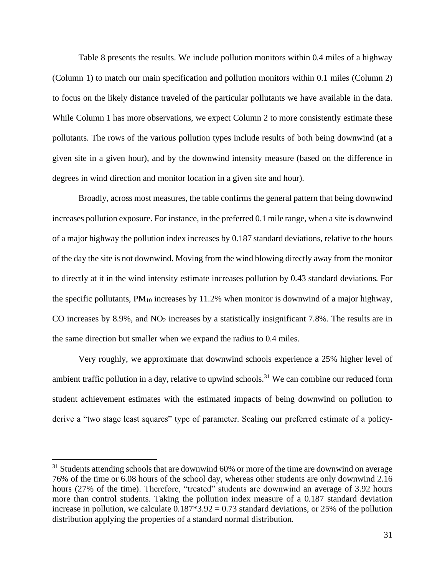Table 8 presents the results. We include pollution monitors within 0.4 miles of a highway (Column 1) to match our main specification and pollution monitors within 0.1 miles (Column 2) to focus on the likely distance traveled of the particular pollutants we have available in the data. While Column 1 has more observations, we expect Column 2 to more consistently estimate these pollutants. The rows of the various pollution types include results of both being downwind (at a given site in a given hour), and by the downwind intensity measure (based on the difference in degrees in wind direction and monitor location in a given site and hour).

Broadly, across most measures, the table confirms the general pattern that being downwind increases pollution exposure. For instance, in the preferred 0.1 mile range, when a site is downwind of a major highway the pollution index increases by 0.187 standard deviations, relative to the hours of the day the site is not downwind. Moving from the wind blowing directly away from the monitor to directly at it in the wind intensity estimate increases pollution by 0.43 standard deviations. For the specific pollutants,  $PM_{10}$  increases by 11.2% when monitor is downwind of a major highway, CO increases by 8.9%, and  $NO<sub>2</sub>$  increases by a statistically insignificant 7.8%. The results are in the same direction but smaller when we expand the radius to 0.4 miles.

Very roughly, we approximate that downwind schools experience a 25% higher level of ambient traffic pollution in a day, relative to upwind schools.<sup>31</sup> We can combine our reduced form student achievement estimates with the estimated impacts of being downwind on pollution to derive a "two stage least squares" type of parameter. Scaling our preferred estimate of a policy-

 $31$  Students attending schools that are downwind 60% or more of the time are downwind on average 76% of the time or 6.08 hours of the school day, whereas other students are only downwind 2.16 hours (27% of the time). Therefore, "treated" students are downwind an average of 3.92 hours more than control students. Taking the pollution index measure of a 0.187 standard deviation increase in pollution, we calculate  $0.187*3.92 = 0.73$  standard deviations, or 25% of the pollution distribution applying the properties of a standard normal distribution.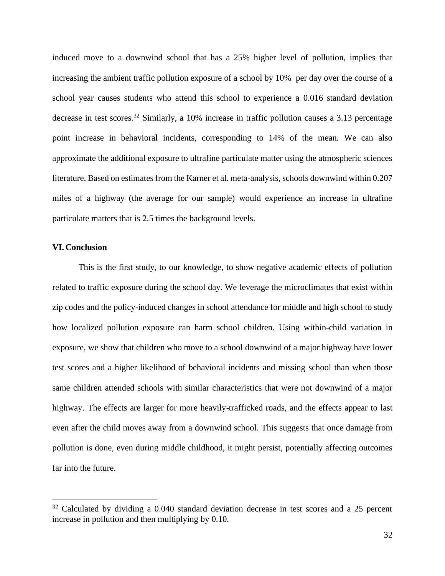induced move to a downwind school that has a 25% higher level of pollution, implies that increasing the ambient traffic pollution exposure of a school by 10% per day over the course of a school year causes students who attend this school to experience a 0.016 standard deviation decrease in test scores.<sup>32</sup> Similarly, a 10% increase in traffic pollution causes a 3.13 percentage point increase in behavioral incidents, corresponding to 14% of the mean. We can also approximate the additional exposure to ultrafine particulate matter using the atmospheric sciences literature. Based on estimates from the Karner et al. meta-analysis, schools downwind within 0.207 miles of a highway (the average for our sample) would experience an increase in ultrafine particulate matters that is 2.5 times the background levels.

#### **VI. Conclusion**

This is the first study, to our knowledge, to show negative academic effects of pollution related to traffic exposure during the school day. We leverage the microclimates that exist within zip codes and the policy-induced changes in school attendance for middle and high school to study how localized pollution exposure can harm school children. Using within-child variation in exposure, we show that children who move to a school downwind of a major highway have lower test scores and a higher likelihood of behavioral incidents and missing school than when those same children attended schools with similar characteristics that were not downwind of a major highway. The effects are larger for more heavily-trafficked roads, and the effects appear to last even after the child moves away from a downwind school. This suggests that once damage from pollution is done, even during middle childhood, it might persist, potentially affecting outcomes far into the future.

 $32$  Calculated by dividing a 0.040 standard deviation decrease in test scores and a 25 percent increase in pollution and then multiplying by 0.10.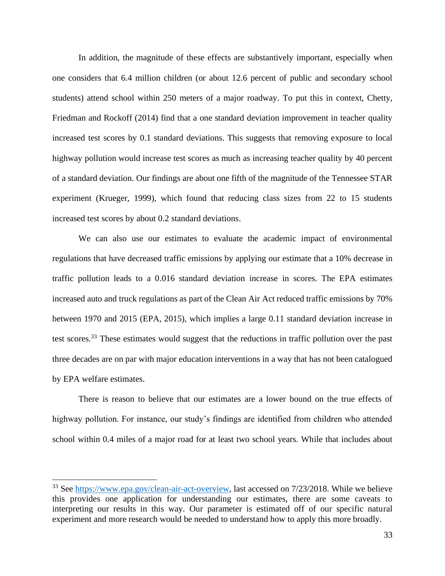In addition, the magnitude of these effects are substantively important, especially when one considers that 6.4 million children (or about 12.6 percent of public and secondary school students) attend school within 250 meters of a major roadway. To put this in context, Chetty, Friedman and Rockoff (2014) find that a one standard deviation improvement in teacher quality increased test scores by 0.1 standard deviations. This suggests that removing exposure to local highway pollution would increase test scores as much as increasing teacher quality by 40 percent of a standard deviation. Our findings are about one fifth of the magnitude of the Tennessee STAR experiment (Krueger, 1999), which found that reducing class sizes from 22 to 15 students increased test scores by about 0.2 standard deviations.

We can also use our estimates to evaluate the academic impact of environmental regulations that have decreased traffic emissions by applying our estimate that a 10% decrease in traffic pollution leads to a 0.016 standard deviation increase in scores. The EPA estimates increased auto and truck regulations as part of the Clean Air Act reduced traffic emissions by 70% between 1970 and 2015 (EPA, 2015), which implies a large 0.11 standard deviation increase in test scores.<sup>33</sup> These estimates would suggest that the reductions in traffic pollution over the past three decades are on par with major education interventions in a way that has not been catalogued by EPA welfare estimates.

There is reason to believe that our estimates are a lower bound on the true effects of highway pollution. For instance, our study's findings are identified from children who attended school within 0.4 miles of a major road for at least two school years. While that includes about

<sup>&</sup>lt;sup>33</sup> See [https://www.epa.gov/clean-air-act-overview,](https://www.epa.gov/clean-air-act-overview) last accessed on 7/23/2018. While we believe this provides one application for understanding our estimates, there are some caveats to interpreting our results in this way. Our parameter is estimated off of our specific natural experiment and more research would be needed to understand how to apply this more broadly.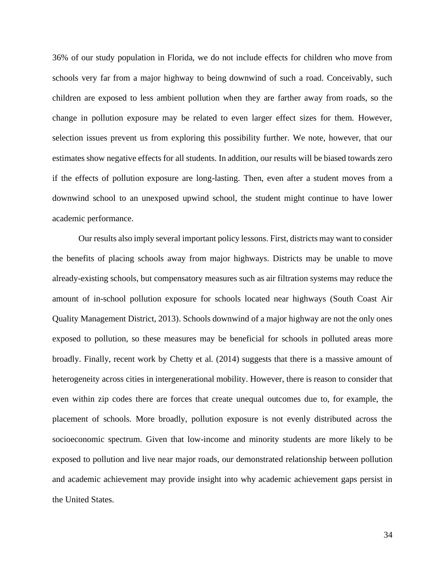36% of our study population in Florida, we do not include effects for children who move from schools very far from a major highway to being downwind of such a road. Conceivably, such children are exposed to less ambient pollution when they are farther away from roads, so the change in pollution exposure may be related to even larger effect sizes for them. However, selection issues prevent us from exploring this possibility further. We note, however, that our estimates show negative effects for all students. In addition, our results will be biased towards zero if the effects of pollution exposure are long-lasting. Then, even after a student moves from a downwind school to an unexposed upwind school, the student might continue to have lower academic performance.

Our results also imply several important policy lessons. First, districts may want to consider the benefits of placing schools away from major highways. Districts may be unable to move already-existing schools, but compensatory measures such as air filtration systems may reduce the amount of in-school pollution exposure for schools located near highways (South Coast Air Quality Management District, 2013). Schools downwind of a major highway are not the only ones exposed to pollution, so these measures may be beneficial for schools in polluted areas more broadly. Finally, recent work by Chetty et al. (2014) suggests that there is a massive amount of heterogeneity across cities in intergenerational mobility. However, there is reason to consider that even within zip codes there are forces that create unequal outcomes due to, for example, the placement of schools. More broadly, pollution exposure is not evenly distributed across the socioeconomic spectrum. Given that low-income and minority students are more likely to be exposed to pollution and live near major roads, our demonstrated relationship between pollution and academic achievement may provide insight into why academic achievement gaps persist in the United States.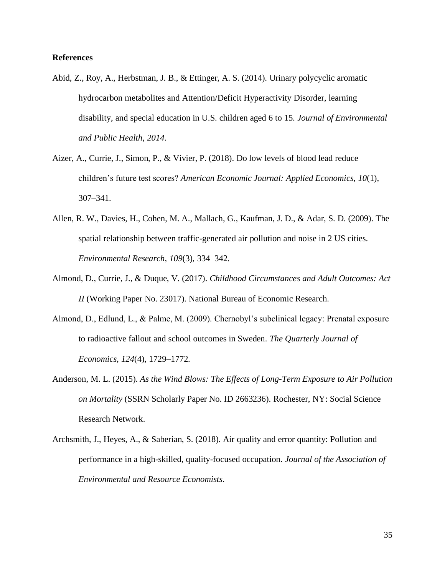## **References**

- Abid, Z., Roy, A., Herbstman, J. B., & Ettinger, A. S. (2014). Urinary polycyclic aromatic hydrocarbon metabolites and Attention/Deficit Hyperactivity Disorder, learning disability, and special education in U.S. children aged 6 to 15. *Journal of Environmental and Public Health*, *2014*.
- Aizer, A., Currie, J., Simon, P., & Vivier, P. (2018). Do low levels of blood lead reduce children's future test scores? *American Economic Journal: Applied Economics*, *10*(1), 307–341.
- Allen, R. W., Davies, H., Cohen, M. A., Mallach, G., Kaufman, J. D., & Adar, S. D. (2009). The spatial relationship between traffic-generated air pollution and noise in 2 US cities. *Environmental Research*, *109*(3), 334–342.
- Almond, D., Currie, J., & Duque, V. (2017). *Childhood Circumstances and Adult Outcomes: Act II* (Working Paper No. 23017). National Bureau of Economic Research.
- Almond, D., Edlund, L., & Palme, M. (2009). Chernobyl's subclinical legacy: Prenatal exposure to radioactive fallout and school outcomes in Sweden. *The Quarterly Journal of Economics*, *124*(4), 1729–1772.
- Anderson, M. L. (2015). *As the Wind Blows: The Effects of Long-Term Exposure to Air Pollution on Mortality* (SSRN Scholarly Paper No. ID 2663236). Rochester, NY: Social Science Research Network.
- Archsmith, J., Heyes, A., & Saberian, S. (2018). Air quality and error quantity: Pollution and performance in a high-skilled, quality-focused occupation. *Journal of the Association of Environmental and Resource Economists*.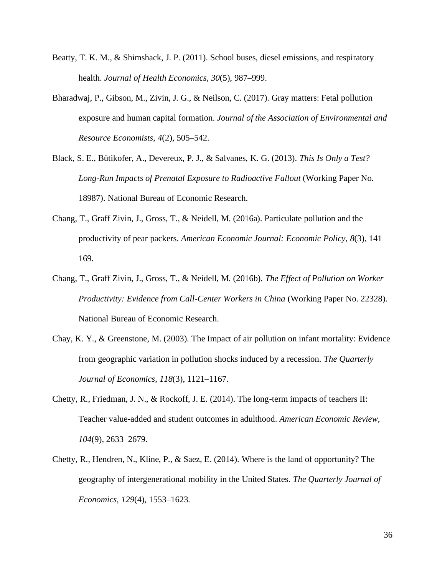- Beatty, T. K. M., & Shimshack, J. P. (2011). School buses, diesel emissions, and respiratory health. *Journal of Health Economics*, *30*(5), 987–999.
- Bharadwaj, P., Gibson, M., Zivin, J. G., & Neilson, C. (2017). Gray matters: Fetal pollution exposure and human capital formation. *Journal of the Association of Environmental and Resource Economists*, *4*(2), 505–542.
- Black, S. E., Bütikofer, A., Devereux, P. J., & Salvanes, K. G. (2013). *This Is Only a Test? Long-Run Impacts of Prenatal Exposure to Radioactive Fallout* (Working Paper No. 18987). National Bureau of Economic Research.
- Chang, T., Graff Zivin, J., Gross, T., & Neidell, M. (2016a). Particulate pollution and the productivity of pear packers. *American Economic Journal: Economic Policy*, *8*(3), 141– 169.
- Chang, T., Graff Zivin, J., Gross, T., & Neidell, M. (2016b). *The Effect of Pollution on Worker Productivity: Evidence from Call-Center Workers in China* (Working Paper No. 22328). National Bureau of Economic Research.
- Chay, K. Y., & Greenstone, M. (2003). The Impact of air pollution on infant mortality: Evidence from geographic variation in pollution shocks induced by a recession. *The Quarterly Journal of Economics*, *118*(3), 1121–1167.
- Chetty, R., Friedman, J. N., & Rockoff, J. E. (2014). The long-term impacts of teachers II: Teacher value-added and student outcomes in adulthood. *American Economic Review*, *104*(9), 2633–2679.
- Chetty, R., Hendren, N., Kline, P., & Saez, E. (2014). Where is the land of opportunity? The geography of intergenerational mobility in the United States. *The Quarterly Journal of Economics*, *129*(4), 1553–1623.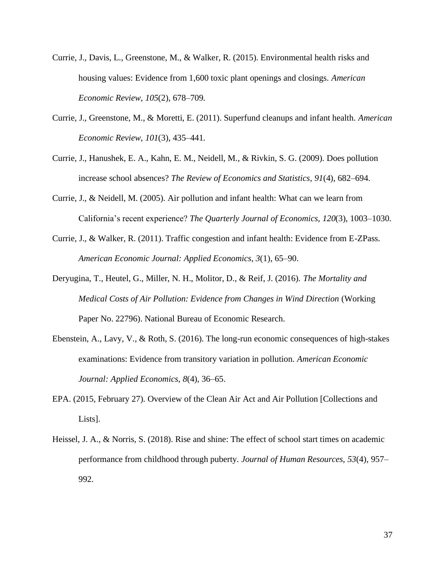- Currie, J., Davis, L., Greenstone, M., & Walker, R. (2015). Environmental health risks and housing values: Evidence from 1,600 toxic plant openings and closings. *American Economic Review*, *105*(2), 678–709.
- Currie, J., Greenstone, M., & Moretti, E. (2011). Superfund cleanups and infant health. *American Economic Review*, *101*(3), 435–441.
- Currie, J., Hanushek, E. A., Kahn, E. M., Neidell, M., & Rivkin, S. G. (2009). Does pollution increase school absences? *The Review of Economics and Statistics*, *91*(4), 682–694.
- Currie, J., & Neidell, M. (2005). Air pollution and infant health: What can we learn from California's recent experience? *The Quarterly Journal of Economics*, *120*(3), 1003–1030.
- Currie, J., & Walker, R. (2011). Traffic congestion and infant health: Evidence from E-ZPass. *American Economic Journal: Applied Economics*, *3*(1), 65–90.
- Deryugina, T., Heutel, G., Miller, N. H., Molitor, D., & Reif, J. (2016). *The Mortality and Medical Costs of Air Pollution: Evidence from Changes in Wind Direction* (Working Paper No. 22796). National Bureau of Economic Research.
- Ebenstein, A., Lavy, V., & Roth, S. (2016). The long-run economic consequences of high-stakes examinations: Evidence from transitory variation in pollution. *American Economic Journal: Applied Economics*, *8*(4), 36–65.
- EPA. (2015, February 27). Overview of the Clean Air Act and Air Pollution [Collections and Lists].
- Heissel, J. A., & Norris, S. (2018). Rise and shine: The effect of school start times on academic performance from childhood through puberty. *Journal of Human Resources*, *53*(4), 957– 992.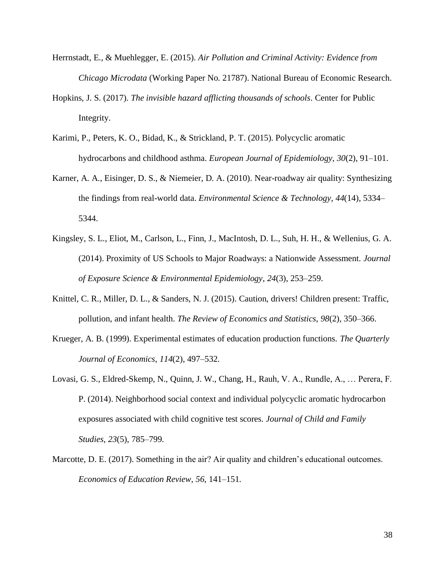- Herrnstadt, E., & Muehlegger, E. (2015). *Air Pollution and Criminal Activity: Evidence from Chicago Microdata* (Working Paper No. 21787). National Bureau of Economic Research.
- Hopkins, J. S. (2017). *The invisible hazard afflicting thousands of schools*. Center for Public Integrity.
- Karimi, P., Peters, K. O., Bidad, K., & Strickland, P. T. (2015). Polycyclic aromatic hydrocarbons and childhood asthma. *European Journal of Epidemiology*, *30*(2), 91–101.
- Karner, A. A., Eisinger, D. S., & Niemeier, D. A. (2010). Near-roadway air quality: Synthesizing the findings from real-world data. *Environmental Science & Technology*, *44*(14), 5334– 5344.
- Kingsley, S. L., Eliot, M., Carlson, L., Finn, J., MacIntosh, D. L., Suh, H. H., & Wellenius, G. A. (2014). Proximity of US Schools to Major Roadways: a Nationwide Assessment. *Journal of Exposure Science & Environmental Epidemiology*, *24*(3), 253–259.
- Knittel, C. R., Miller, D. L., & Sanders, N. J. (2015). Caution, drivers! Children present: Traffic, pollution, and infant health. *The Review of Economics and Statistics*, *98*(2), 350–366.
- Krueger, A. B. (1999). Experimental estimates of education production functions. *The Quarterly Journal of Economics*, *114*(2), 497–532.
- Lovasi, G. S., Eldred-Skemp, N., Quinn, J. W., Chang, H., Rauh, V. A., Rundle, A., … Perera, F. P. (2014). Neighborhood social context and individual polycyclic aromatic hydrocarbon exposures associated with child cognitive test scores. *Journal of Child and Family Studies*, *23*(5), 785–799.
- Marcotte, D. E. (2017). Something in the air? Air quality and children's educational outcomes. *Economics of Education Review*, *56*, 141–151.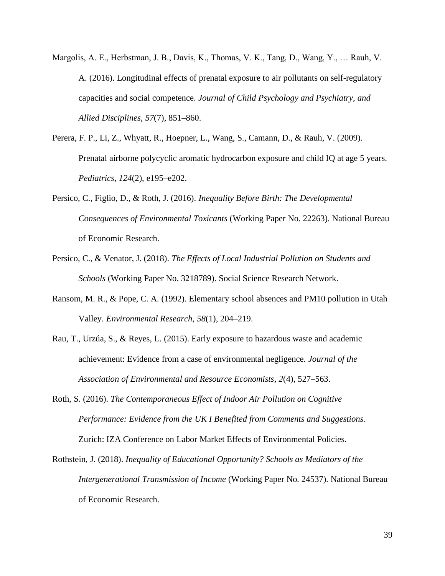- Margolis, A. E., Herbstman, J. B., Davis, K., Thomas, V. K., Tang, D., Wang, Y., … Rauh, V. A. (2016). Longitudinal effects of prenatal exposure to air pollutants on self-regulatory capacities and social competence. *Journal of Child Psychology and Psychiatry, and Allied Disciplines*, *57*(7), 851–860.
- Perera, F. P., Li, Z., Whyatt, R., Hoepner, L., Wang, S., Camann, D., & Rauh, V. (2009). Prenatal airborne polycyclic aromatic hydrocarbon exposure and child IQ at age 5 years. *Pediatrics*, *124*(2), e195–e202.
- Persico, C., Figlio, D., & Roth, J. (2016). *Inequality Before Birth: The Developmental Consequences of Environmental Toxicants* (Working Paper No. 22263). National Bureau of Economic Research.
- Persico, C., & Venator, J. (2018). *The Effects of Local Industrial Pollution on Students and Schools* (Working Paper No. 3218789). Social Science Research Network.
- Ransom, M. R., & Pope, C. A. (1992). Elementary school absences and PM10 pollution in Utah Valley. *Environmental Research*, *58*(1), 204–219.
- Rau, T., Urzúa, S., & Reyes, L. (2015). Early exposure to hazardous waste and academic achievement: Evidence from a case of environmental negligence. *Journal of the Association of Environmental and Resource Economists*, *2*(4), 527–563.
- Roth, S. (2016). *The Contemporaneous Effect of Indoor Air Pollution on Cognitive Performance: Evidence from the UK I Benefited from Comments and Suggestions*. Zurich: IZA Conference on Labor Market Effects of Environmental Policies.
- Rothstein, J. (2018). *Inequality of Educational Opportunity? Schools as Mediators of the Intergenerational Transmission of Income* (Working Paper No. 24537). National Bureau of Economic Research.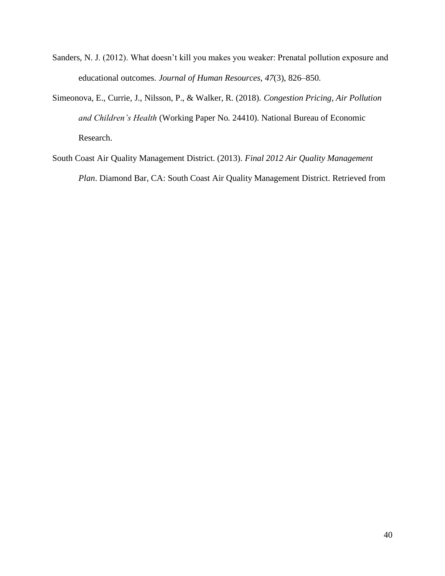- Sanders, N. J. (2012). What doesn't kill you makes you weaker: Prenatal pollution exposure and educational outcomes. *Journal of Human Resources*, *47*(3), 826–850.
- Simeonova, E., Currie, J., Nilsson, P., & Walker, R. (2018). *Congestion Pricing, Air Pollution and Children's Health* (Working Paper No. 24410). National Bureau of Economic Research.
- South Coast Air Quality Management District. (2013). *Final 2012 Air Quality Management Plan*. Diamond Bar, CA: South Coast Air Quality Management District. Retrieved from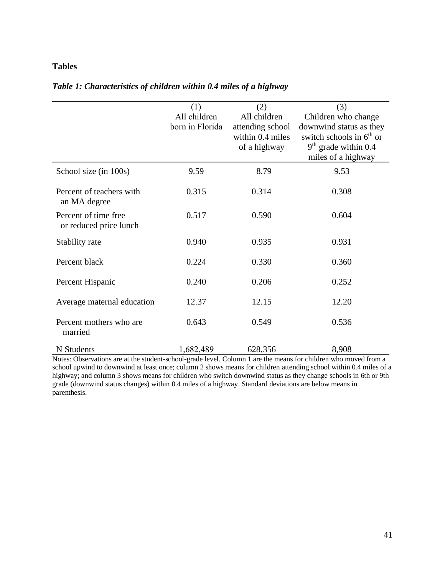# **Tables**

|                            | (1)             | (2)              | (3)                        |
|----------------------------|-----------------|------------------|----------------------------|
|                            | All children    | All children     | Children who change        |
|                            | born in Florida | attending school | downwind status as they    |
|                            |                 | within 0.4 miles | switch schools in $6th$ or |
|                            |                 | of a highway     | $9th$ grade within 0.4     |
|                            |                 |                  | miles of a highway         |
| School size (in 100s)      | 9.59            | 8.79             | 9.53                       |
| Percent of teachers with   | 0.315           | 0.314            | 0.308                      |
| an MA degree               |                 |                  |                            |
| Percent of time free       | 0.517           | 0.590            | 0.604                      |
| or reduced price lunch     |                 |                  |                            |
| Stability rate             | 0.940           | 0.935            | 0.931                      |
| Percent black              | 0.224           | 0.330            | 0.360                      |
|                            |                 |                  |                            |
| Percent Hispanic           | 0.240           | 0.206            | 0.252                      |
|                            |                 |                  |                            |
| Average maternal education | 12.37           | 12.15            | 12.20                      |
| Percent mothers who are    | 0.643           | 0.549            | 0.536                      |
| married                    |                 |                  |                            |
| N Students                 | 1,682,489       | 628,356          | 8,908                      |

# *Table 1: Characteristics of children within 0.4 miles of a highway*

Notes: Observations are at the student-school-grade level. Column 1 are the means for children who moved from a school upwind to downwind at least once; column 2 shows means for children attending school within 0.4 miles of a highway; and column 3 shows means for children who switch downwind status as they change schools in 6th or 9th grade (downwind status changes) within 0.4 miles of a highway. Standard deviations are below means in parenthesis.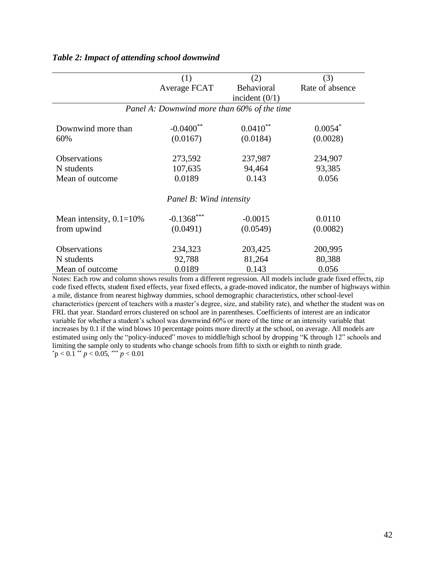|                            | (1)                                         | (2)              | (3)             |
|----------------------------|---------------------------------------------|------------------|-----------------|
|                            | Average FCAT                                | Behavioral       | Rate of absence |
|                            |                                             | incident $(0/1)$ |                 |
|                            | Panel A: Downwind more than 60% of the time |                  |                 |
| Downwind more than         | $-0.0400$ **                                | $0.0410^{**}$    | $0.0054*$       |
| 60%                        | (0.0167)                                    | (0.0184)         | (0.0028)        |
| <b>Observations</b>        | 273,592                                     | 237,987          | 234,907         |
| N students                 | 107,635                                     | 94,464           | 93,385          |
| Mean of outcome            | 0.0189                                      | 0.143            | 0.056           |
|                            | Panel B: Wind intensity                     |                  |                 |
| Mean intensity, $0.1=10\%$ | $-0.1368***$                                | $-0.0015$        | 0.0110          |
| from upwind                | (0.0491)                                    | (0.0549)         | (0.0082)        |
| Observations               | 234,323                                     | 203,425          | 200,995         |
| N students                 | 92,788                                      | 81,264           | 80,388          |
| Mean of outcome            | 0.0189                                      | 0.143            | 0.056           |

## *Table 2: Impact of attending school downwind*

Notes: Each row and column shows results from a different regression. All models include grade fixed effects, zip code fixed effects, student fixed effects, year fixed effects, a grade-moved indicator, the number of highways within a mile, distance from nearest highway dummies, school demographic characteristics, other school-level characteristics (percent of teachers with a master's degree, size, and stability rate), and whether the student was on FRL that year. Standard errors clustered on school are in parentheses. Coefficients of interest are an indicator variable for whether a student's school was downwind 60% or more of the time or an intensity variable that increases by 0.1 if the wind blows 10 percentage points more directly at the school, on average. All models are estimated using only the "policy-induced" moves to middle/high school by dropping "K through 12" schools and limiting the sample only to students who change schools from fifth to sixth or eighth to ninth grade*.*  $*_{p} < 0.1 * p < 0.05$ ,  $**_{p} < 0.01$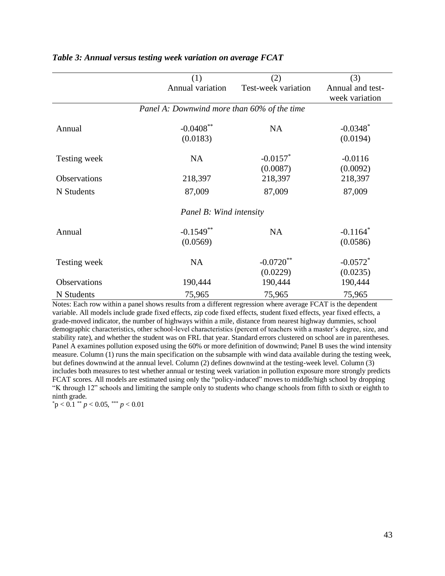|                     | (1)                                         | (2)                                | (3)                                |
|---------------------|---------------------------------------------|------------------------------------|------------------------------------|
|                     | Annual variation                            | Test-week variation                | Annual and test-<br>week variation |
|                     | Panel A: Downwind more than 60% of the time |                                    |                                    |
| Annual              | $-0.0408$ **<br>(0.0183)                    | <b>NA</b>                          | $-0.0348*$<br>(0.0194)             |
| Testing week        | <b>NA</b>                                   | $-0.0157$ <sup>*</sup><br>(0.0087) | $-0.0116$<br>(0.0092)              |
| <b>Observations</b> | 218,397                                     | 218,397                            | 218,397                            |
| N Students          | 87,009                                      | 87,009                             | 87,009                             |
|                     | Panel B: Wind intensity                     |                                    |                                    |
| Annual              | $-0.1549**$<br>(0.0569)                     | <b>NA</b>                          | $-0.1164$ <sup>*</sup><br>(0.0586) |
| Testing week        | <b>NA</b>                                   | $-0.0720**$<br>(0.0229)            | $-0.0572$ <sup>*</sup><br>(0.0235) |
| Observations        | 190,444                                     | 190,444                            | 190,444                            |
| N Students          | 75,965                                      | 75,965                             | 75,965                             |

### *Table 3: Annual versus testing week variation on average FCAT*

Notes: Each row within a panel shows results from a different regression where average FCAT is the dependent variable. All models include grade fixed effects, zip code fixed effects, student fixed effects, year fixed effects, a grade-moved indicator, the number of highways within a mile, distance from nearest highway dummies, school demographic characteristics, other school-level characteristics (percent of teachers with a master's degree, size, and stability rate), and whether the student was on FRL that year. Standard errors clustered on school are in parentheses. Panel A examines pollution exposed using the 60% or more definition of downwind; Panel B uses the wind intensity measure. Column (1) runs the main specification on the subsample with wind data available during the testing week, but defines downwind at the annual level. Column (2) defines downwind at the testing-week level. Column (3) includes both measures to test whether annual or testing week variation in pollution exposure more strongly predicts FCAT scores. All models are estimated using only the "policy-induced" moves to middle/high school by dropping "K through 12" schools and limiting the sample only to students who change schools from fifth to sixth or eighth to ninth grade*.*

 $p < 0.1$  \*\*  $p < 0.05$ , \*\*\*  $p < 0.01$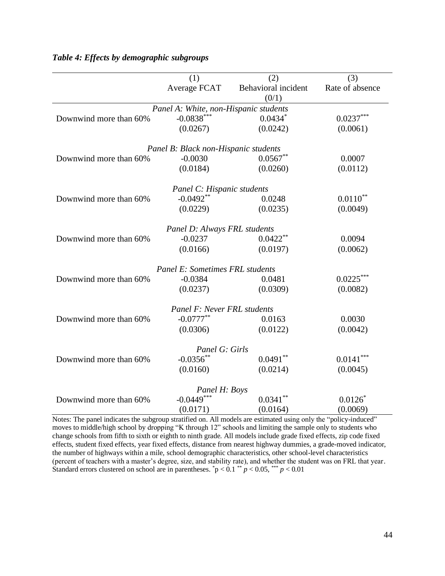|                        | (1)                                   | (2)                 | (3)             |
|------------------------|---------------------------------------|---------------------|-----------------|
|                        | Average FCAT                          | Behavioral incident | Rate of absence |
|                        |                                       | (0/1)               |                 |
|                        | Panel A: White, non-Hispanic students |                     |                 |
| Downwind more than 60% | $-0.0838***$                          | $0.0434*$           | $0.0237***$     |
|                        | (0.0267)                              | (0.0242)            | (0.0061)        |
|                        | Panel B: Black non-Hispanic students  |                     |                 |
| Downwind more than 60% | $-0.0030$                             | $0.0567**$          | 0.0007          |
|                        | (0.0184)                              | (0.0260)            | (0.0112)        |
|                        | Panel C: Hispanic students            |                     |                 |
| Downwind more than 60% | $-0.0492**$                           | 0.0248              | $0.0110**$      |
|                        | (0.0229)                              | (0.0235)            | (0.0049)        |
|                        | Panel D: Always FRL students          |                     |                 |
| Downwind more than 60% | $-0.0237$                             | $0.0422**$          | 0.0094          |
|                        | (0.0166)                              | (0.0197)            | (0.0062)        |
|                        | Panel E: Sometimes FRL students       |                     |                 |
| Downwind more than 60% | $-0.0384$                             | 0.0481              | $0.0225***$     |
|                        | (0.0237)                              | (0.0309)            | (0.0082)        |
|                        | Panel F: Never FRL students           |                     |                 |
| Downwind more than 60% | $-0.0777**$                           | 0.0163              | 0.0030          |
|                        | (0.0306)                              | (0.0122)            | (0.0042)        |
|                        | Panel G: Girls                        |                     |                 |
| Downwind more than 60% | $-0.0356$ **                          | $0.0491**$          | $0.0141***$     |
|                        | (0.0160)                              | (0.0214)            | (0.0045)        |
|                        | Panel H: Boys                         |                     |                 |
| Downwind more than 60% | $-0.0449***$                          | $0.0341$ **         | 0.0126          |
|                        | (0.0171)                              | (0.0164)            | (0.0069)        |

# *Table 4: Effects by demographic subgroups*

Notes: The panel indicates the subgroup stratified on. All models are estimated using only the "policy-induced" moves to middle/high school by dropping "K through 12" schools and limiting the sample only to students who change schools from fifth to sixth or eighth to ninth grade*.* All models include grade fixed effects, zip code fixed effects, student fixed effects, year fixed effects, distance from nearest highway dummies, a grade-moved indicator, the number of highways within a mile, school demographic characteristics, other school-level characteristics (percent of teachers with a master's degree, size, and stability rate), and whether the student was on FRL that year. Standard errors clustered on school are in parentheses.  $\bar{p}$  < 0.1  $\bar{p}$  + 0.05,  $\bar{p}$  + 0.01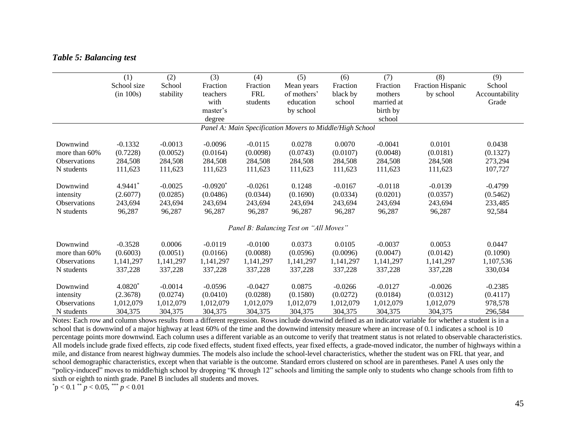# *Table 5: Balancing test*

|                     | (1)         | (2)       | (3)        | (4)        | (5)                                                      | (6)       | (7)        | (8)               | (9)            |
|---------------------|-------------|-----------|------------|------------|----------------------------------------------------------|-----------|------------|-------------------|----------------|
|                     | School size | School    | Fraction   | Fraction   | Mean years                                               | Fraction  | Fraction   | Fraction Hispanic | School         |
|                     | (in 100s)   | stability | teachers   | <b>FRL</b> | of mothers'                                              | black by  | mothers    | by school         | Accountability |
|                     |             |           | with       | students   | education                                                | school    | married at |                   | Grade          |
|                     |             |           | master's   |            | by school                                                |           | birth by   |                   |                |
|                     |             |           | degree     |            |                                                          |           | school     |                   |                |
|                     |             |           |            |            | Panel A: Main Specification Movers to Middle/High School |           |            |                   |                |
| Downwind            | $-0.1332$   | $-0.0013$ | $-0.0096$  | $-0.0115$  | 0.0278                                                   | 0.0070    | $-0.0041$  | 0.0101            | 0.0438         |
| more than 60%       | (0.7228)    | (0.0052)  | (0.0164)   | (0.0098)   | (0.0743)                                                 | (0.0107)  | (0.0048)   | (0.0181)          | (0.1327)       |
| Observations        | 284,508     | 284,508   | 284,508    | 284,508    | 284,508                                                  | 284,508   | 284,508    | 284,508           | 273,294        |
| N students          | 111,623     | 111,623   | 111,623    | 111,623    | 111,623                                                  | 111,623   | 111,623    | 111,623           | 107,727        |
| Downwind            | 4.9441*     | $-0.0025$ | $-0.0920*$ | $-0.0261$  | 0.1248                                                   | $-0.0167$ | $-0.0118$  | $-0.0139$         | $-0.4799$      |
| intensity           | (2.6077)    | (0.0285)  | (0.0486)   | (0.0344)   | (0.1690)                                                 | (0.0334)  | (0.0201)   | (0.0357)          | (0.5462)       |
| <b>Observations</b> | 243,694     | 243,694   | 243,694    | 243,694    | 243,694                                                  | 243,694   | 243,694    | 243,694           | 233,485        |
| N students          | 96,287      | 96,287    | 96,287     | 96,287     | 96,287                                                   | 96,287    | 96,287     | 96,287            | 92,584         |
|                     |             |           |            |            | Panel B: Balancing Test on "All Moves"                   |           |            |                   |                |
| Downwind            | $-0.3528$   | 0.0006    | $-0.0119$  | $-0.0100$  | 0.0373                                                   | 0.0105    | $-0.0037$  | 0.0053            | 0.0447         |
| more than 60%       | (0.6003)    | (0.0051)  | (0.0166)   | (0.0088)   | (0.0596)                                                 | (0.0096)  | (0.0047)   | (0.0142)          | (0.1090)       |
| Observations        | 1,141,297   | 1,141,297 | 1,141,297  | 1,141,297  | 1,141,297                                                | 1,141,297 | 1,141,297  | 1,141,297         | 1,107,536      |
| N students          | 337,228     | 337,228   | 337,228    | 337,228    | 337,228                                                  | 337,228   | 337,228    | 337,228           | 330,034        |
| Downwind            | $4.0820*$   | $-0.0014$ | $-0.0596$  | $-0.0427$  | 0.0875                                                   | $-0.0266$ | $-0.0127$  | $-0.0026$         | $-0.2385$      |
| intensity           | (2.3678)    | (0.0274)  | (0.0410)   | (0.0288)   | (0.1580)                                                 | (0.0272)  | (0.0184)   | (0.0312)          | (0.4117)       |
| <b>Observations</b> | 1,012,079   | 1,012,079 | 1,012,079  | 1,012,079  | 1,012,079                                                | 1,012,079 | 1,012,079  | 1.012.079         | 978,578        |
| N students          | 304,375     | 304,375   | 304,375    | 304,375    | 304,375                                                  | 304,375   | 304,375    | 304,375           | 296,584        |

Notes: Each row and column shows results from a different regression. Rows include downwind defined as an indicator variable for whether a student is in a school that is downwind of a major highway at least 60% of the time and the downwind intensity measure where an increase of 0.1 indicates a school is 10 percentage points more downwind. Each column uses a different variable as an outcome to verify that treatment status is not related to observable characteristics. All models include grade fixed effects, zip code fixed effects, student fixed effects, year fixed effects, a grade-moved indicator, the number of highways within a mile, and distance from nearest highway dummies. The models also include the school-level characteristics, whether the student was on FRL that year, and school demographic characteristics, except when that variable is the outcome. Standard errors clustered on school are in parentheses. Panel A uses only the "policy-induced" moves to middle/high school by dropping "K through 12" schools and limiting the sample only to students who change schools from fifth to sixth or eighth to ninth grade. Panel B includes all students and moves.

 $p^*$   $p < 0.1$  \*\*  $p < 0.05$ , \*\*\*  $p < 0.01$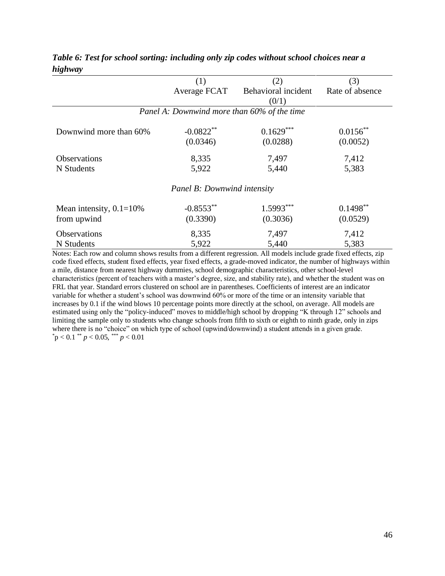|                            | (1)                                         | (2)                 | (3)             |
|----------------------------|---------------------------------------------|---------------------|-----------------|
|                            | Average FCAT                                | Behavioral incident | Rate of absence |
|                            |                                             | (0/1)               |                 |
|                            | Panel A: Downwind more than 60% of the time |                     |                 |
| Downwind more than 60%     | $-0.0822**$                                 | $0.1629***$         | $0.0156$ **     |
|                            | (0.0346)                                    | (0.0288)            | (0.0052)        |
| <b>Observations</b>        | 8,335                                       | 7,497               | 7,412           |
| N Students                 | 5,922                                       | 5,440               | 5,383           |
|                            | <b>Panel B: Downwind intensity</b>          |                     |                 |
| Mean intensity, $0.1=10\%$ | $-0.8553**$                                 | $1.5993***$         | $0.1498**$      |
| from upwind                | (0.3390)                                    | (0.3036)            | (0.0529)        |
| Observations               | 8,335                                       | 7,497               | 7,412           |
| N Students                 | 5,922                                       | 5,440               | 5,383           |

*Table 6: Test for school sorting: including only zip codes without school choices near a highway*

Notes: Each row and column shows results from a different regression. All models include grade fixed effects, zip code fixed effects, student fixed effects, year fixed effects, a grade-moved indicator, the number of highways within a mile, distance from nearest highway dummies, school demographic characteristics, other school-level characteristics (percent of teachers with a master's degree, size, and stability rate), and whether the student was on FRL that year. Standard errors clustered on school are in parentheses. Coefficients of interest are an indicator variable for whether a student's school was downwind 60% or more of the time or an intensity variable that increases by 0.1 if the wind blows 10 percentage points more directly at the school, on average. All models are estimated using only the "policy-induced" moves to middle/high school by dropping "K through 12" schools and limiting the sample only to students who change schools from fifth to sixth or eighth to ninth grade, only in zips where there is no "choice" on which type of school (upwind/downwind) a student attends in a given grade.  $p < 0.1$  \*\*  $p < 0.05$ , \*\*\*  $p < 0.01$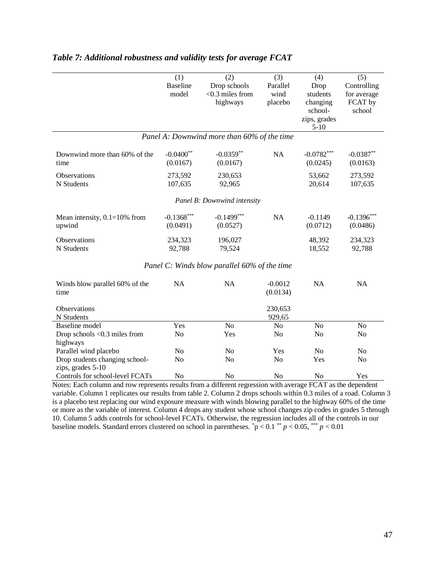|                                                                                                              | (1)             | (2)                                          | (3)            | (4)                    | (5)            |
|--------------------------------------------------------------------------------------------------------------|-----------------|----------------------------------------------|----------------|------------------------|----------------|
|                                                                                                              | <b>Baseline</b> | Drop schools                                 | Parallel       | Drop                   | Controlling    |
|                                                                                                              | model           | $<$ 0.3 miles from                           | wind           | students               | for average    |
|                                                                                                              |                 | highways                                     | placebo        | changing               | FCAT by        |
|                                                                                                              |                 |                                              |                | school-                | school         |
|                                                                                                              |                 |                                              |                | zips, grades<br>$5-10$ |                |
|                                                                                                              |                 | Panel A: Downwind more than 60% of the time  |                |                        |                |
| Downwind more than 60% of the                                                                                | $-0.0400**$     | $-0.0359**$                                  | <b>NA</b>      | $-0.0782***$           | $-0.0387**$    |
| time                                                                                                         | (0.0167)        | (0.0167)                                     |                | (0.0245)               | (0.0163)       |
|                                                                                                              |                 |                                              |                |                        |                |
| Observations                                                                                                 | 273,592         | 230,653                                      |                | 53,662                 | 273,592        |
| N Students                                                                                                   | 107,635         | 92,965                                       |                | 20,614                 | 107,635        |
|                                                                                                              |                 | Panel B: Downwind intensity                  |                |                        |                |
| Mean intensity, $0.1=10\%$ from                                                                              | $-0.1368***$    | $-0.1499***$                                 | <b>NA</b>      | $-0.1149$              | $-0.1396***$   |
| upwind                                                                                                       | (0.0491)        | (0.0527)                                     |                | (0.0712)               | (0.0486)       |
| Observations                                                                                                 | 234,323         | 196,027                                      |                | 48,392                 | 234,323        |
| N Students                                                                                                   | 92,788          | 79,524                                       |                | 18,552                 | 92,788         |
|                                                                                                              |                 |                                              |                |                        |                |
|                                                                                                              |                 | Panel C: Winds blow parallel 60% of the time |                |                        |                |
| Winds blow parallel 60% of the                                                                               | NA              | <b>NA</b>                                    | $-0.0012$      | <b>NA</b>              | NA             |
| time                                                                                                         |                 |                                              | (0.0134)       |                        |                |
| Observations                                                                                                 |                 |                                              | 230,653        |                        |                |
| N Students                                                                                                   |                 |                                              | 929,65         |                        |                |
| <b>Baseline</b> model                                                                                        | Yes             | N <sub>o</sub>                               | No             | N <sub>o</sub>         | N <sub>o</sub> |
| Drop schools $< 0.3$ miles from                                                                              | N <sub>o</sub>  | Yes                                          | No             | N <sub>o</sub>         | N <sub>0</sub> |
| highways                                                                                                     |                 |                                              |                |                        |                |
| Parallel wind placebo                                                                                        | N <sub>o</sub>  | No                                           | Yes            | N <sub>o</sub>         | N <sub>0</sub> |
| Drop students changing school-                                                                               | N <sub>0</sub>  | N <sub>0</sub>                               | No             | Yes                    | N <sub>0</sub> |
| zips, grades 5-10                                                                                            |                 |                                              |                |                        |                |
| Controls for school-level FCATs                                                                              | N <sub>o</sub>  | N <sub>o</sub>                               | N <sub>o</sub> | No                     | Yes            |
| Notes: Each column and row represents results from a different regression with average FCAT as the dependent |                 |                                              |                |                        |                |

# *Table 7: Additional robustness and validity tests for average FCAT*

Notes: Each column and row represents results from a different regression with average FCAT as the dependent variable. Column 1 replicates our results from table 2. Column 2 drops schools within 0.3 miles of a road. Column 3 is a placebo test replacing our wind exposure measure with winds blowing parallel to the highway 60% of the time or more as the variable of interest. Column 4 drops any student whose school changes zip codes in grades 5 through 10. Column 5 adds controls for school-level FCATs. Otherwise, the regression includes all of the controls in our baseline models. Standard errors clustered on school in parentheses.  $\dot{p} < 0.1$  \*  $p < 0.05$ , \*\*\*  $p < 0.01$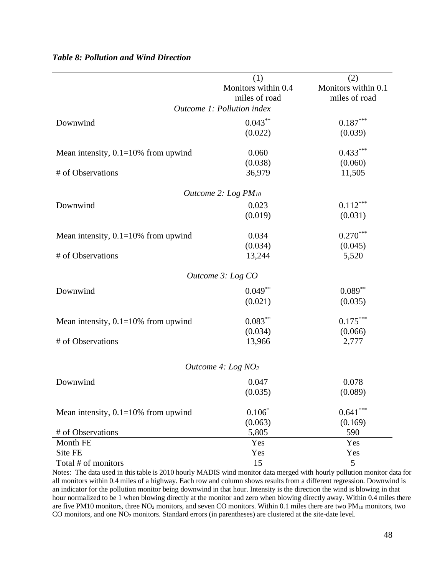|                                        | (1)                        | (2)                    |
|----------------------------------------|----------------------------|------------------------|
|                                        | Monitors within 0.4        | Monitors within 0.1    |
|                                        | miles of road              | miles of road          |
|                                        | Outcome 1: Pollution index |                        |
| Downwind                               | $0.043***$                 | $0.187***$             |
|                                        | (0.022)                    | (0.039)                |
|                                        |                            |                        |
| Mean intensity, $0.1=10\%$ from upwind | 0.060                      | $0.433***$             |
|                                        | (0.038)                    | (0.060)                |
| # of Observations                      | 36,979                     | 11,505                 |
|                                        |                            |                        |
|                                        | Outcome 2: Log $PM_{10}$   |                        |
| Downwind                               | 0.023                      | $0.112***$             |
|                                        | (0.019)                    | (0.031)                |
|                                        |                            |                        |
| Mean intensity, $0.1=10\%$ from upwind | 0.034                      | $0.270***$             |
|                                        | (0.034)                    | (0.045)                |
| # of Observations                      | 13,244                     | 5,520                  |
|                                        |                            |                        |
|                                        | Outcome 3: Log CO          |                        |
| Downwind                               | $0.049**$                  | $0.089**$              |
|                                        | (0.021)                    | (0.035)                |
|                                        |                            |                        |
| Mean intensity, $0.1=10\%$ from upwind | $0.083***$                 | $0.175***$             |
|                                        | (0.034)                    | (0.066)                |
| # of Observations                      | 13,966                     | 2,777                  |
|                                        |                            |                        |
|                                        |                            |                        |
|                                        | Outcome 4: Log $NO2$       |                        |
| Downwind                               | 0.047                      | 0.078                  |
|                                        | (0.035)                    | (0.089)                |
|                                        |                            |                        |
| Mean intensity, $0.1=10\%$ from upwind | $0.106*$                   | $0.641^{\ast\ast\ast}$ |
|                                        | (0.063)                    | (0.169)                |
| # of Observations                      | 5,805                      | 590                    |
| Month FE                               | Yes                        | Yes                    |
| Site FE                                | Yes                        | Yes                    |
| Total # of monitors                    | 15                         | 5                      |

# *Table 8: Pollution and Wind Direction*

Notes: The data used in this table is 2010 hourly MADIS wind monitor data merged with hourly pollution monitor data for all monitors within 0.4 miles of a highway. Each row and column shows results from a different regression. Downwind is an indicator for the pollution monitor being downwind in that hour. Intensity is the direction the wind is blowing in that hour normalized to be 1 when blowing directly at the monitor and zero when blowing directly away. Within 0.4 miles there are five PM10 monitors, three  $NO<sub>2</sub>$  monitors, and seven CO monitors. Within 0.1 miles there are two PM<sub>10</sub> monitors, two CO monitors, and one NO<sub>2</sub> monitors. Standard errors (in parentheses) are clustered at the site-date level.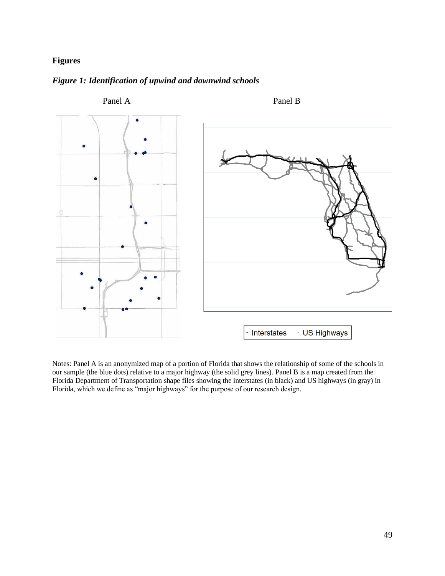# **Figures**



## *Figure 1: Identification of upwind and downwind schools*

Notes: Panel A is an anonymized map of a portion of Florida that shows the relationship of some of the schools in our sample (the blue dots) relative to a major highway (the solid grey lines). Panel B is a map created from the Florida Department of Transportation shape files showing the interstates (in black) and US highways (in gray) in Florida, which we define as "major highways" for the purpose of our research design.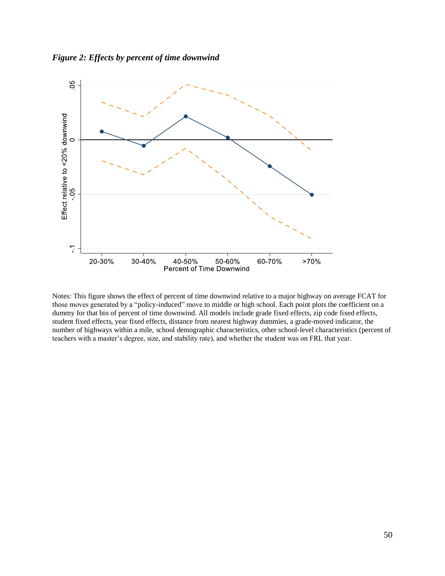*Figure 2: Effects by percent of time downwind*



Notes: This figure shows the effect of percent of time downwind relative to a major highway on average FCAT for those moves generated by a "policy-induced" move to middle or high school. Each point plots the coefficient on a dummy for that bin of percent of time downwind. All models include grade fixed effects, zip code fixed effects, student fixed effects, year fixed effects, distance from nearest highway dummies, a grade-moved indicator, the number of highways within a mile, school demographic characteristics, other school-level characteristics (percent of teachers with a master's degree, size, and stability rate), and whether the student was on FRL that year.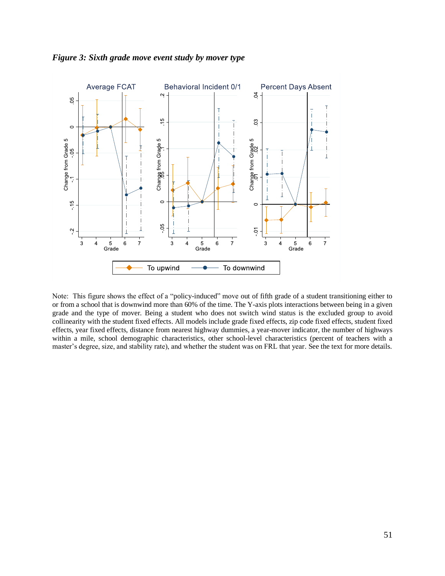

*Figure 3: Sixth grade move event study by mover type*

Note: This figure shows the effect of a "policy-induced" move out of fifth grade of a student transitioning either to or from a school that is downwind more than 60% of the time. The Y-axis plots interactions between being in a given grade and the type of mover. Being a student who does not switch wind status is the excluded group to avoid collinearity with the student fixed effects. All models include grade fixed effects, zip code fixed effects, student fixed effects, year fixed effects, distance from nearest highway dummies, a year-mover indicator, the number of highways within a mile, school demographic characteristics, other school-level characteristics (percent of teachers with a master's degree, size, and stability rate), and whether the student was on FRL that year. See the text for more details.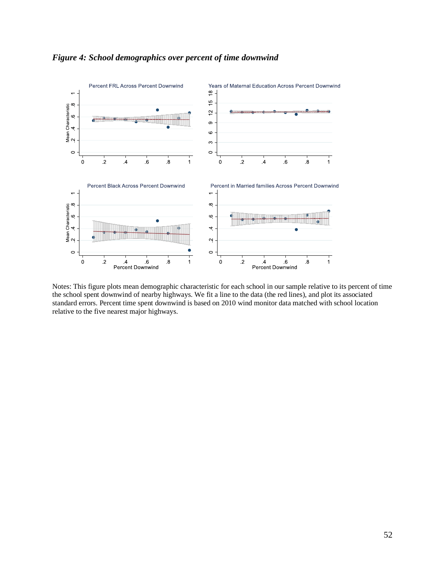

# *Figure 4: School demographics over percent of time downwind*

Notes: This figure plots mean demographic characteristic for each school in our sample relative to its percent of time the school spent downwind of nearby highways. We fit a line to the data (the red lines), and plot its associated standard errors. Percent time spent downwind is based on 2010 wind monitor data matched with school location relative to the five nearest major highways.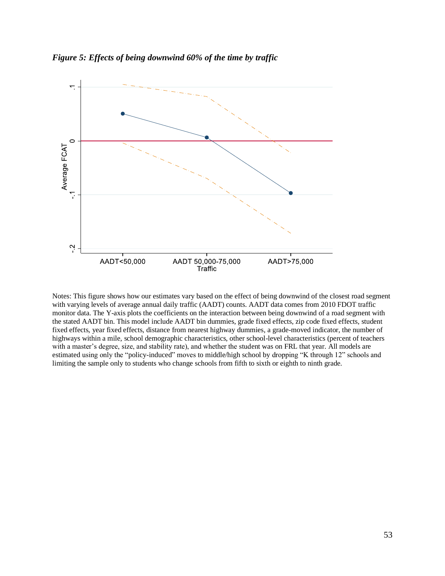



Notes: This figure shows how our estimates vary based on the effect of being downwind of the closest road segment with varying levels of average annual daily traffic (AADT) counts. AADT data comes from 2010 FDOT traffic monitor data. The Y-axis plots the coefficients on the interaction between being downwind of a road segment with the stated AADT bin. This model include AADT bin dummies, grade fixed effects, zip code fixed effects, student fixed effects, year fixed effects, distance from nearest highway dummies, a grade-moved indicator, the number of highways within a mile, school demographic characteristics, other school-level characteristics (percent of teachers with a master's degree, size, and stability rate), and whether the student was on FRL that year. All models are estimated using only the "policy-induced" moves to middle/high school by dropping "K through 12" schools and limiting the sample only to students who change schools from fifth to sixth or eighth to ninth grade*.*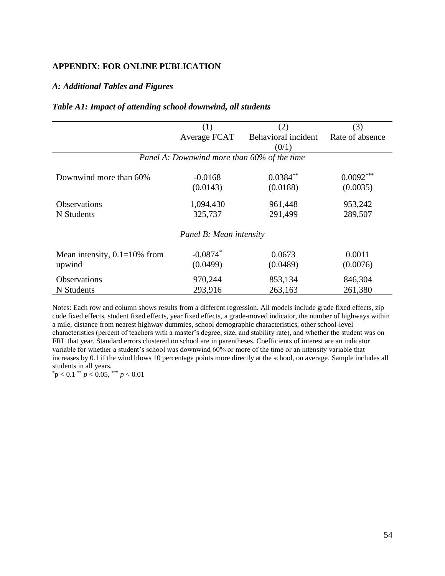## **APPENDIX: FOR ONLINE PUBLICATION**

## *A: Additional Tables and Figures*

|  |  | Table A1: Impact of attending school downwind, all students |  |
|--|--|-------------------------------------------------------------|--|
|  |  |                                                             |  |

|                                             | (1)                     | (2)                 | (3)             |  |  |  |
|---------------------------------------------|-------------------------|---------------------|-----------------|--|--|--|
|                                             | Average FCAT            | Behavioral incident | Rate of absence |  |  |  |
|                                             |                         | (0/1)               |                 |  |  |  |
| Panel A: Downwind more than 60% of the time |                         |                     |                 |  |  |  |
|                                             |                         |                     |                 |  |  |  |
| Downwind more than 60%                      | $-0.0168$               | $0.0384**$          | $0.0092***$     |  |  |  |
|                                             | (0.0143)                | (0.0188)            | (0.0035)        |  |  |  |
| <b>Observations</b>                         | 1,094,430               | 961,448             | 953,242         |  |  |  |
| N Students                                  | 325,737                 | 291,499             | 289,507         |  |  |  |
|                                             | Panel B: Mean intensity |                     |                 |  |  |  |
|                                             |                         |                     |                 |  |  |  |
| Mean intensity, $0.1=10\%$ from             | $-0.0874$ <sup>*</sup>  | 0.0673              | 0.0011          |  |  |  |
| upwind                                      | (0.0499)                | (0.0489)            | (0.0076)        |  |  |  |
| Observations                                | 970,244                 | 853,134             | 846,304         |  |  |  |
| N Students                                  | 293,916                 | 263,163             | 261,380         |  |  |  |

Notes: Each row and column shows results from a different regression. All models include grade fixed effects, zip code fixed effects, student fixed effects, year fixed effects, a grade-moved indicator, the number of highways within a mile, distance from nearest highway dummies, school demographic characteristics, other school-level characteristics (percent of teachers with a master's degree, size, and stability rate), and whether the student was on FRL that year. Standard errors clustered on school are in parentheses. Coefficients of interest are an indicator variable for whether a student's school was downwind 60% or more of the time or an intensity variable that increases by 0.1 if the wind blows 10 percentage points more directly at the school, on average. Sample includes all students in all years.

 $p < 0.1$  \*\*  $p < 0.05$ , \*\*\*  $p < 0.01$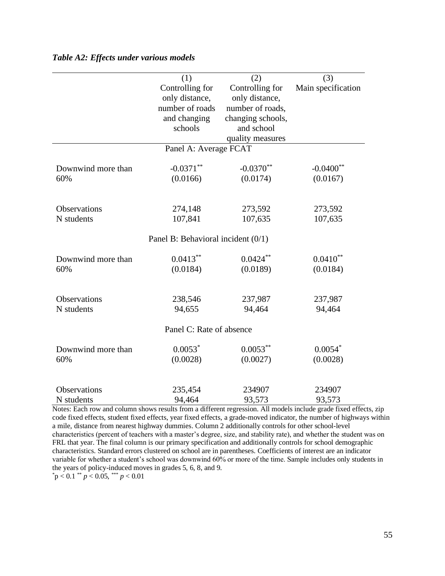|                          | (1)                                  | (2)               |                    |  |  |  |
|--------------------------|--------------------------------------|-------------------|--------------------|--|--|--|
|                          | Controlling for                      | Controlling for   | Main specification |  |  |  |
|                          | only distance,                       | only distance,    |                    |  |  |  |
|                          | number of roads                      | number of roads,  |                    |  |  |  |
|                          | and changing                         | changing schools, |                    |  |  |  |
|                          | schools                              | and school        |                    |  |  |  |
|                          |                                      | quality measures  |                    |  |  |  |
| Panel A: Average FCAT    |                                      |                   |                    |  |  |  |
| Downwind more than       | $-0.0371**$                          | $-0.0370**$       | $-0.0400$ **       |  |  |  |
| 60%                      | (0.0166)                             | (0.0174)          | (0.0167)           |  |  |  |
|                          |                                      |                   |                    |  |  |  |
| <b>Observations</b>      | 274,148                              | 273,592           | 273,592            |  |  |  |
| N students               | 107,841                              | 107,635           | 107,635            |  |  |  |
|                          |                                      |                   |                    |  |  |  |
|                          | Panel B: Behavioral incident $(0/1)$ |                   |                    |  |  |  |
| Downwind more than       | $0.0413**$                           | $0.0424***$       | $0.0410**$         |  |  |  |
| 60%                      | (0.0184)                             | (0.0189)          | (0.0184)           |  |  |  |
|                          |                                      |                   |                    |  |  |  |
| <b>Observations</b>      | 238,546                              | 237,987           | 237,987            |  |  |  |
| N students               | 94,655                               | 94,464            | 94,464             |  |  |  |
| Panel C: Rate of absence |                                      |                   |                    |  |  |  |
| Downwind more than       | $0.0053*$                            | $0.0053***$       | $0.0054*$          |  |  |  |
| 60%                      | (0.0028)                             | (0.0027)          | (0.0028)           |  |  |  |
|                          |                                      |                   |                    |  |  |  |
| <b>Observations</b>      | 235,454                              | 234907            | 234907             |  |  |  |
| N students               | 94,464                               | 93,573            | 93,573             |  |  |  |

### *Table A2: Effects under various models*

Notes: Each row and column shows results from a different regression. All models include grade fixed effects, zip code fixed effects, student fixed effects, year fixed effects, a grade-moved indicator, the number of highways within a mile, distance from nearest highway dummies. Column 2 additionally controls for other school-level characteristics (percent of teachers with a master's degree, size, and stability rate), and whether the student was on FRL that year. The final column is our primary specification and additionally controls for school demographic characteristics. Standard errors clustered on school are in parentheses. Coefficients of interest are an indicator variable for whether a student's school was downwind 60% or more of the time. Sample includes only students in the years of policy-induced moves in grades 5, 6, 8, and 9.

 $p < 0.1$  \*\*  $p < 0.05$ , \*\*\*  $p < 0.01$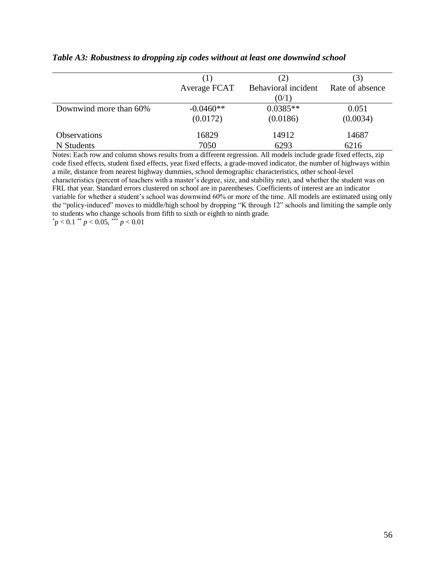|                        | (1)          | (2)                 | $\mathfrak{I}$  |
|------------------------|--------------|---------------------|-----------------|
|                        | Average FCAT | Behavioral incident | Rate of absence |
|                        |              | (0/1)               |                 |
| Downwind more than 60% | $-0.0460**$  | $0.0385**$          | 0.051           |
|                        | (0.0172)     | (0.0186)            | (0.0034)        |
| <b>Observations</b>    | 16829        | 14912               | 14687           |
| N Students             | 7050         | 6293                | 6216            |

## *Table A3: Robustness to dropping zip codes without at least one downwind school*

Notes: Each row and column shows results from a different regression. All models include grade fixed effects, zip code fixed effects, student fixed effects, year fixed effects, a grade-moved indicator, the number of highways within a mile, distance from nearest highway dummies, school demographic characteristics, other school-level characteristics (percent of teachers with a master's degree, size, and stability rate), and whether the student was on FRL that year. Standard errors clustered on school are in parentheses. Coefficients of interest are an indicator variable for whether a student's school was downwind 60% or more of the time. All models are estimated using only the "policy-induced" moves to middle/high school by dropping "K through 12" schools and limiting the sample only to students who change schools from fifth to sixth or eighth to ninth grade*.*  $p < 0.1$  \*\*  $p < 0.05$ , \*\*\*  $p < 0.01$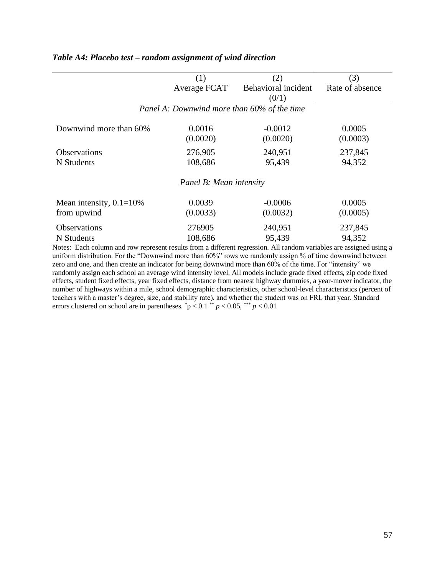|                                             | (1)<br>(2)   |                     | (3)             |  |  |  |  |
|---------------------------------------------|--------------|---------------------|-----------------|--|--|--|--|
|                                             | Average FCAT | Behavioral incident | Rate of absence |  |  |  |  |
|                                             |              | (0/1)               |                 |  |  |  |  |
| Panel A: Downwind more than 60% of the time |              |                     |                 |  |  |  |  |
|                                             |              |                     |                 |  |  |  |  |
| Downwind more than 60%                      | 0.0016       | $-0.0012$           | 0.0005          |  |  |  |  |
|                                             | (0.0020)     | (0.0020)            | (0.0003)        |  |  |  |  |
| Observations                                | 276,905      | 240,951             | 237,845         |  |  |  |  |
| N Students                                  | 108,686      | 95,439              | 94,352          |  |  |  |  |
| Panel B: Mean intensity                     |              |                     |                 |  |  |  |  |
| Mean intensity, $0.1=10\%$                  | 0.0039       | $-0.0006$           | 0.0005          |  |  |  |  |
| from upwind                                 | (0.0033)     | (0.0032)            | (0.0005)        |  |  |  |  |
| <b>Observations</b>                         | 276905       | 240,951             | 237,845         |  |  |  |  |
| N Students                                  | 108,686      | 95,439              | 94,352          |  |  |  |  |

## *Table A4: Placebo test – random assignment of wind direction*

Notes: Each column and row represent results from a different regression. All random variables are assigned using a uniform distribution. For the "Downwind more than 60%" rows we randomly assign % of time downwind between zero and one, and then create an indicator for being downwind more than 60% of the time. For "intensity" we randomly assign each school an average wind intensity level. All models include grade fixed effects, zip code fixed effects, student fixed effects, year fixed effects, distance from nearest highway dummies, a year-mover indicator, the number of highways within a mile, school demographic characteristics, other school-level characteristics (percent of teachers with a master's degree, size, and stability rate), and whether the student was on FRL that year. Standard errors clustered on school are in parentheses.  $p < 0.1$  \*\*  $p < 0.05$ , \*\*\*  $p < 0.01$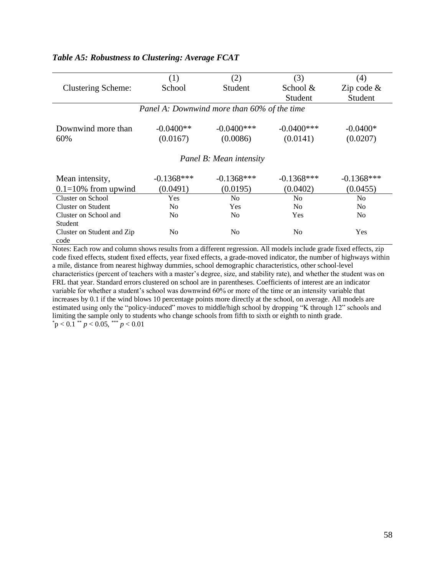|                                             | (1)            | (2)            | (3)            | (4)            |  |  |
|---------------------------------------------|----------------|----------------|----------------|----------------|--|--|
| <b>Clustering Scheme:</b>                   | School         | Student        | School &       | Zip code $\&$  |  |  |
|                                             |                |                | Student        | Student        |  |  |
| Panel A: Downwind more than 60% of the time |                |                |                |                |  |  |
|                                             |                |                |                |                |  |  |
| Downwind more than                          | $-0.0400**$    | $-0.0400$ ***  | $-0.0400$ ***  | $-0.0400*$     |  |  |
| 60%                                         | (0.0167)       | (0.0086)       | (0.0141)       | (0.0207)       |  |  |
|                                             |                |                |                |                |  |  |
| Panel B: Mean intensity                     |                |                |                |                |  |  |
| Mean intensity,                             | $-0.1368***$   | $-0.1368***$   | $-0.1368***$   | $-0.1368***$   |  |  |
| $0.1 = 10\%$ from upwind                    | (0.0491)       | (0.0195)       | (0.0402)       | (0.0455)       |  |  |
| Cluster on School                           | Yes            | N <sub>o</sub> | No             | N <sub>0</sub> |  |  |
| Cluster on Student                          | No.            | <b>Yes</b>     | N <sub>0</sub> | N <sub>0</sub> |  |  |
| Cluster on School and                       | N <sub>0</sub> | No.            | Yes            | N <sub>0</sub> |  |  |
| Student                                     |                |                |                |                |  |  |
| Cluster on Student and Zip                  | N <sub>0</sub> | N <sub>0</sub> | N <sub>0</sub> | Yes            |  |  |
| code                                        |                |                |                |                |  |  |

# *Table A5: Robustness to Clustering: Average FCAT*

Notes: Each row and column shows results from a different regression. All models include grade fixed effects, zip code fixed effects, student fixed effects, year fixed effects, a grade-moved indicator, the number of highways within a mile, distance from nearest highway dummies, school demographic characteristics, other school-level characteristics (percent of teachers with a master's degree, size, and stability rate), and whether the student was on FRL that year. Standard errors clustered on school are in parentheses. Coefficients of interest are an indicator variable for whether a student's school was downwind 60% or more of the time or an intensity variable that increases by 0.1 if the wind blows 10 percentage points more directly at the school, on average. All models are estimated using only the "policy-induced" moves to middle/high school by dropping "K through 12" schools and limiting the sample only to students who change schools from fifth to sixth or eighth to ninth grade*.*  $p < 0.1$ <sup>\*\*</sup>  $p < 0.05$ , \*\*\*  $p < 0.01$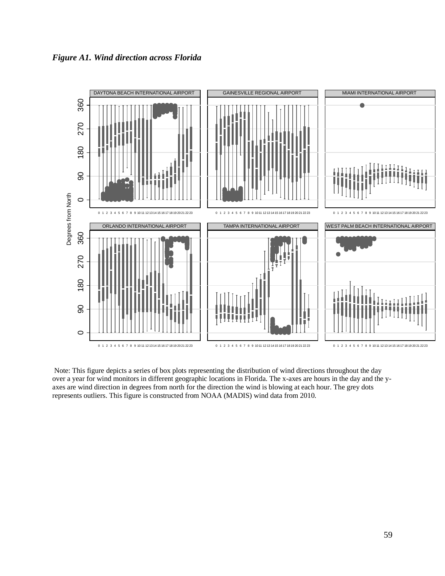



Note: This figure depicts a series of box plots representing the distribution of wind directions throughout the day over a year for wind monitors in different geographic locations in Florida. The x-axes are hours in the day and the yaxes are wind direction in degrees from north for the direction the wind is blowing at each hour. The grey dots represents outliers. This figure is constructed from NOAA (MADIS) wind data from 2010.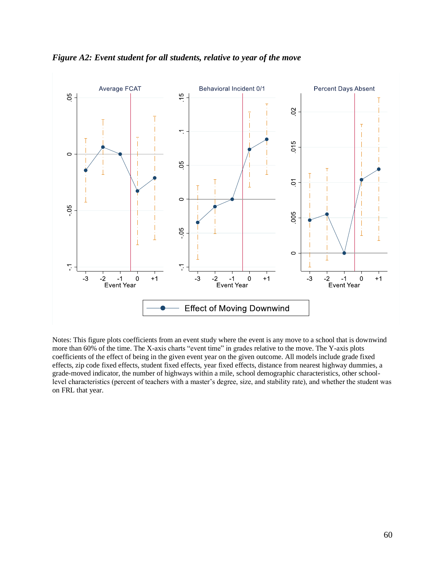



Notes: This figure plots coefficients from an event study where the event is any move to a school that is downwind more than 60% of the time. The X-axis charts "event time" in grades relative to the move. The Y-axis plots coefficients of the effect of being in the given event year on the given outcome. All models include grade fixed effects, zip code fixed effects, student fixed effects, year fixed effects, distance from nearest highway dummies, a grade-moved indicator, the number of highways within a mile, school demographic characteristics, other schoollevel characteristics (percent of teachers with a master's degree, size, and stability rate), and whether the student was on FRL that year.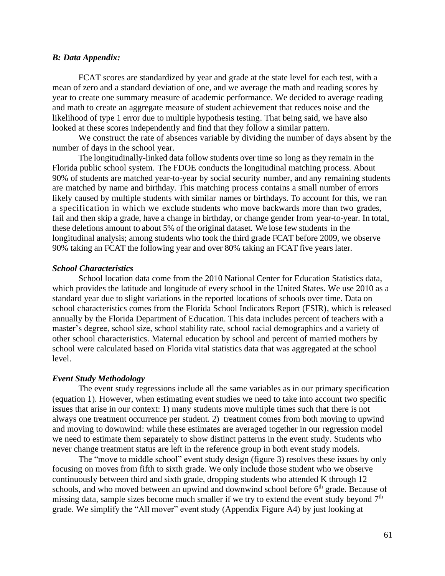#### *B: Data Appendix:*

FCAT scores are standardized by year and grade at the state level for each test, with a mean of zero and a standard deviation of one, and we average the math and reading scores by year to create one summary measure of academic performance. We decided to average reading and math to create an aggregate measure of student achievement that reduces noise and the likelihood of type 1 error due to multiple hypothesis testing. That being said, we have also looked at these scores independently and find that they follow a similar pattern.

We construct the rate of absences variable by dividing the number of days absent by the number of days in the school year.

The longitudinally-linked data follow students over time so long as they remain in the Florida public school system. The FDOE conducts the longitudinal matching process. About 90% of students are matched year-to-year by social security number, and any remaining students are matched by name and birthday. This matching process contains a small number of errors likely caused by multiple students with similar names or birthdays. To account for this, we ran a specification in which we exclude students who move backwards more than two grades, fail and then skip a grade, have a change in birthday, or change gender from year-to-year. In total, these deletions amount to about 5% of the original dataset. We lose few students in the longitudinal analysis; among students who took the third grade FCAT before 2009, we observe 90% taking an FCAT the following year and over 80% taking an FCAT five years later.

## *School Characteristics*

School location data come from the 2010 National Center for Education Statistics data, which provides the latitude and longitude of every school in the United States. We use 2010 as a standard year due to slight variations in the reported locations of schools over time. Data on school characteristics comes from the Florida School Indicators Report (FSIR), which is released annually by the Florida Department of Education. This data includes percent of teachers with a master's degree, school size, school stability rate, school racial demographics and a variety of other school characteristics. Maternal education by school and percent of married mothers by school were calculated based on Florida vital statistics data that was aggregated at the school level.

#### *Event Study Methodology*

The event study regressions include all the same variables as in our primary specification (equation 1). However, when estimating event studies we need to take into account two specific issues that arise in our context: 1) many students move multiple times such that there is not always one treatment occurrence per student. 2) treatment comes from both moving to upwind and moving to downwind: while these estimates are averaged together in our regression model we need to estimate them separately to show distinct patterns in the event study. Students who never change treatment status are left in the reference group in both event study models.

The "move to middle school" event study design (figure 3) resolves these issues by only focusing on moves from fifth to sixth grade. We only include those student who we observe continuously between third and sixth grade, dropping students who attended K through 12 schools, and who moved between an upwind and downwind school before 6<sup>th</sup> grade. Because of missing data, sample sizes become much smaller if we try to extend the event study beyond  $7<sup>th</sup>$ grade. We simplify the "All mover" event study (Appendix Figure A4) by just looking at